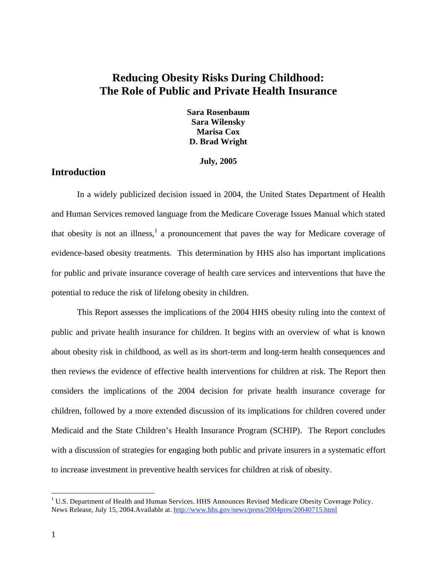# **Reducing Obesity Risks During Childhood: The Role of Public and Private Health Insurance**

**Sara Rosenbaum Sara Wilensky Marisa Cox D. Brad Wright** 

#### **July, 2005**

# **Introduction**

In a widely publicized decision issued in 2004, the United States Department of Health and Human Services removed language from the Medicare Coverage Issues Manual which stated that obesity is not an illness,  $1$  a pronouncement that paves the way for Medicare coverage of evidence-based obesity treatments. This determination by HHS also has important implications for public and private insurance coverage of health care services and interventions that have the potential to reduce the risk of lifelong obesity in children.

This Report assesses the implications of the 2004 HHS obesity ruling into the context of public and private health insurance for children. It begins with an overview of what is known about obesity risk in childhood, as well as its short-term and long-term health consequences and then reviews the evidence of effective health interventions for children at risk. The Report then considers the implications of the 2004 decision for private health insurance coverage for children, followed by a more extended discussion of its implications for children covered under Medicaid and the State Children's Health Insurance Program (SCHIP). The Report concludes with a discussion of strategies for engaging both public and private insurers in a systematic effort to increase investment in preventive health services for children at risk of obesity.

1

<sup>&</sup>lt;sup>1</sup> U.S. Department of Health and Human Services. HHS Announces Revised Medicare Obesity Coverage Policy. News Release, July 15, 2004.Available at. http://www.hhs.gov/news/press/2004pres/20040715.html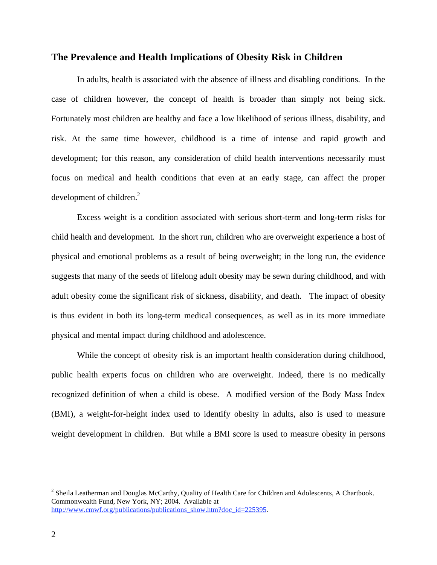#### **The Prevalence and Health Implications of Obesity Risk in Children**

In adults, health is associated with the absence of illness and disabling conditions. In the case of children however, the concept of health is broader than simply not being sick. Fortunately most children are healthy and face a low likelihood of serious illness, disability, and risk. At the same time however, childhood is a time of intense and rapid growth and development; for this reason, any consideration of child health interventions necessarily must focus on medical and health conditions that even at an early stage, can affect the proper development of children.<sup>2</sup>

Excess weight is a condition associated with serious short-term and long-term risks for child health and development. In the short run, children who are overweight experience a host of physical and emotional problems as a result of being overweight; in the long run, the evidence suggests that many of the seeds of lifelong adult obesity may be sewn during childhood, and with adult obesity come the significant risk of sickness, disability, and death. The impact of obesity is thus evident in both its long-term medical consequences, as well as in its more immediate physical and mental impact during childhood and adolescence.

While the concept of obesity risk is an important health consideration during childhood, public health experts focus on children who are overweight. Indeed, there is no medically recognized definition of when a child is obese. A modified version of the Body Mass Index (BMI), a weight-for-height index used to identify obesity in adults, also is used to measure weight development in children. But while a BMI score is used to measure obesity in persons

 $2^2$  Sheila Leatherman and Douglas McCarthy, Quality of Health Care for Children and Adolescents, A Chartbook. Commonwealth Fund, New York, NY; 2004. Available at http://www.cmwf.org/publications/publications\_show.htm?doc\_id=225395.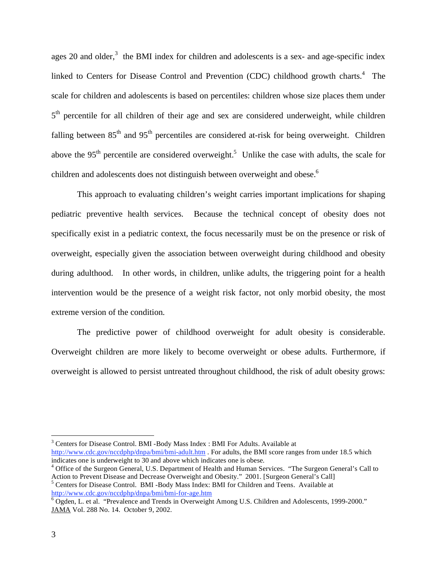ages 20 and older,<sup>3</sup> the BMI index for children and adolescents is a sex- and age-specific index linked to Centers for Disease Control and Prevention (CDC) childhood growth charts.<sup>4</sup> The scale for children and adolescents is based on percentiles: children whose size places them under  $5<sup>th</sup>$  percentile for all children of their age and sex are considered underweight, while children falling between  $85<sup>th</sup>$  and  $95<sup>th</sup>$  percentiles are considered at-risk for being overweight. Children above the 95<sup>th</sup> percentile are considered overweight.<sup>5</sup> Unlike the case with adults, the scale for children and adolescents does not distinguish between overweight and obese.<sup>6</sup>

This approach to evaluating children's weight carries important implications for shaping pediatric preventive health services. Because the technical concept of obesity does not specifically exist in a pediatric context, the focus necessarily must be on the presence or risk of overweight, especially given the association between overweight during childhood and obesity during adulthood. In other words, in children, unlike adults, the triggering point for a health intervention would be the presence of a weight risk factor, not only morbid obesity, the most extreme version of the condition.

The predictive power of childhood overweight for adult obesity is considerable. Overweight children are more likely to become overweight or obese adults. Furthermore, if overweight is allowed to persist untreated throughout childhood, the risk of adult obesity grows:

<sup>3</sup> Centers for Disease Control. BMI -Body Mass Index : BMI For Adults. Available at http://www.cdc.gov/nccdphp/dnpa/bmi/bmi-adult.htm . For adults, the BMI score ranges from under 18.5 which indicates one is underweight to 30 and above which indicates one is obese.

<sup>4</sup> Office of the Surgeon General, U.S. Department of Health and Human Services. "The Surgeon General's Call to Action to Prevent Disease and Decrease Overweight and Obesity." 2001. [Surgeon General's Call] <sup>5</sup> Centers for Disease Control. BMI -Body Mass Index: BMI for Children and Teens. Available at

http://www.cdc.gov/nccdphp/dnpa/bmi/bmi-for-age.htm 6

 $\overline{6}$  Ogden, L. et al. "Prevalence and Trends in Overweight Among U.S. Children and Adolescents, 1999-2000." JAMA Vol. 288 No. 14. October 9, 2002.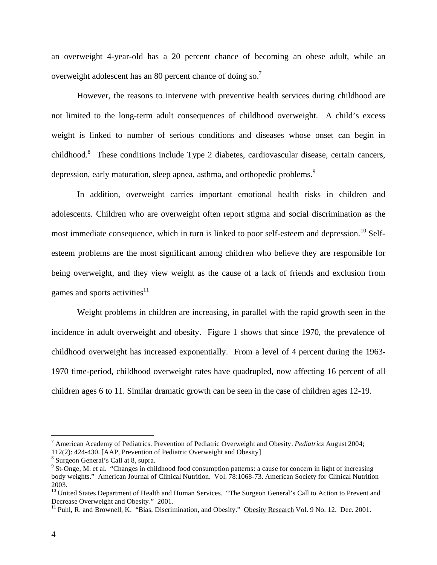an overweight 4-year-old has a 20 percent chance of becoming an obese adult, while an overweight adolescent has an 80 percent chance of doing so.<sup>7</sup>

However, the reasons to intervene with preventive health services during childhood are not limited to the long-term adult consequences of childhood overweight. A child's excess weight is linked to number of serious conditions and diseases whose onset can begin in childhood.<sup>8</sup> These conditions include Type 2 diabetes, cardiovascular disease, certain cancers, depression, early maturation, sleep apnea, asthma, and orthopedic problems.<sup>9</sup>

In addition, overweight carries important emotional health risks in children and adolescents. Children who are overweight often report stigma and social discrimination as the most immediate consequence, which in turn is linked to poor self-esteem and depression.<sup>10</sup> Selfesteem problems are the most significant among children who believe they are responsible for being overweight, and they view weight as the cause of a lack of friends and exclusion from games and sports activities<sup>11</sup>

Weight problems in children are increasing, in parallel with the rapid growth seen in the incidence in adult overweight and obesity. Figure 1 shows that since 1970, the prevalence of childhood overweight has increased exponentially. From a level of 4 percent during the 1963- 1970 time-period, childhood overweight rates have quadrupled, now affecting 16 percent of all children ages 6 to 11. Similar dramatic growth can be seen in the case of children ages 12-19.

<sup>7</sup> American Academy of Pediatrics. Prevention of Pediatric Overweight and Obesity. *Pediatrics* August 2004;

<sup>112(2): 424-430. [</sup>AAP, Prevention of Pediatric Overweight and Obesity]

<sup>8</sup> Surgeon General's Call at 8, supra.

 $9^9$  St-Onge, M. et al. "Changes in childhood food consumption patterns: a cause for concern in light of increasing body weights." American Journal of Clinical Nutrition. Vol. 78:1068-73. American Society for Clinical Nutrition 2003.

<sup>&</sup>lt;sup>10</sup> United States Department of Health and Human Services. "The Surgeon General's Call to Action to Prevent and Decrease Overweight and Obesity." 2001.

<sup>&</sup>lt;sup>11</sup> Puhl, R. and Brownell, K. "Bias, Discrimination, and Obesity." Obesity Research Vol. 9 No. 12. Dec. 2001.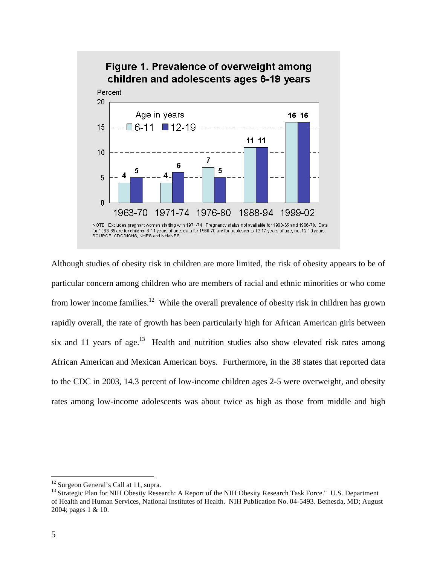

Although studies of obesity risk in children are more limited, the risk of obesity appears to be of particular concern among children who are members of racial and ethnic minorities or who come from lower income families.12 While the overall prevalence of obesity risk in children has grown rapidly overall, the rate of growth has been particularly high for African American girls between six and 11 years of age.<sup>13</sup> Health and nutrition studies also show elevated risk rates among African American and Mexican American boys. Furthermore, in the 38 states that reported data to the CDC in 2003, 14.3 percent of low-income children ages 2-5 were overweight, and obesity rates among low-income adolescents was about twice as high as those from middle and high

<u>.</u>

<sup>&</sup>lt;sup>12</sup> Surgeon General's Call at 11, supra.

<sup>&</sup>lt;sup>13</sup> Strategic Plan for NIH Obesity Research: A Report of the NIH Obesity Research Task Force." U.S. Department of Health and Human Services, National Institutes of Health. NIH Publication No. 04-5493. Bethesda, MD; August 2004; pages 1 & 10.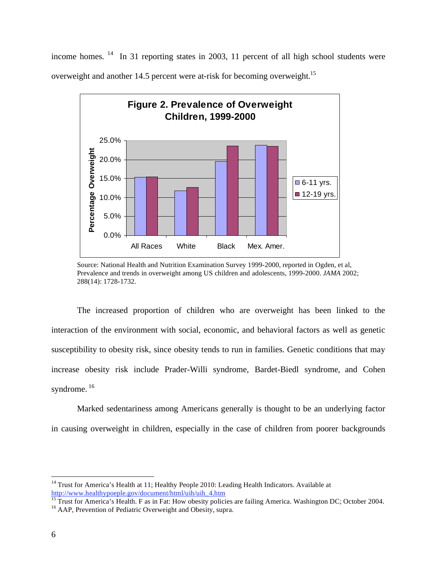income homes. <sup>14</sup> In 31 reporting states in 2003, 11 percent of all high school students were overweight and another 14.5 percent were at-risk for becoming overweight.<sup>15</sup>



Source: National Health and Nutrition Examination Survey 1999-2000, reported in Ogden, et al, Prevalence and trends in overweight among US children and adolescents, 1999-2000. *JAMA* 2002; 288(14): 1728-1732.

The increased proportion of children who are overweight has been linked to the interaction of the environment with social, economic, and behavioral factors as well as genetic susceptibility to obesity risk, since obesity tends to run in families. Genetic conditions that may increase obesity risk include Prader-Willi syndrome, Bardet-Biedl syndrome, and Cohen syndrome.<sup>16</sup>

Marked sedentariness among Americans generally is thought to be an underlying factor in causing overweight in children, especially in the case of children from poorer backgrounds

<u>.</u>

<sup>&</sup>lt;sup>14</sup> Trust for America's Health at 11; Healthy People 2010: Leading Health Indicators. Available at http://www.healthypoeple.gov/document/html/uih/uih\_4.htm<br>
<sup>15</sup> Trust for America's Health. F as in Fat: How obesity policies are failing America. Washington DC; October 2004.

<sup>&</sup>lt;sup>16</sup> AAP, Prevention of Pediatric Overweight and Obesity, supra.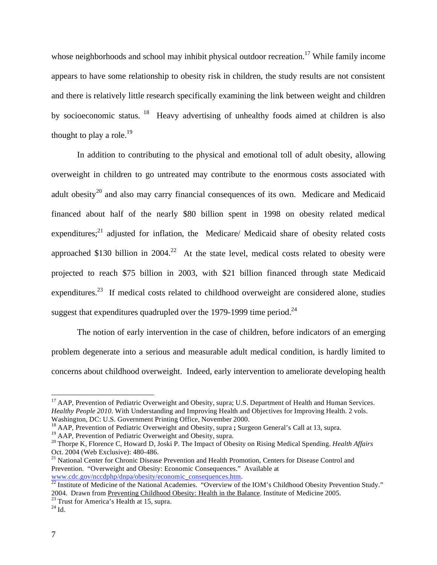whose neighborhoods and school may inhibit physical outdoor recreation.<sup>17</sup> While family income appears to have some relationship to obesity risk in children, the study results are not consistent and there is relatively little research specifically examining the link between weight and children by socioeconomic status. 18 Heavy advertising of unhealthy foods aimed at children is also thought to play a role.<sup>19</sup>

In addition to contributing to the physical and emotional toll of adult obesity, allowing overweight in children to go untreated may contribute to the enormous costs associated with adult obesity<sup>20</sup> and also may carry financial consequences of its own. Medicare and Medicaid financed about half of the nearly \$80 billion spent in 1998 on obesity related medical expenditures; $^{21}$  adjusted for inflation, the Medicare/ Medicaid share of obesity related costs approached \$130 billion in  $2004<sup>22</sup>$  At the state level, medical costs related to obesity were projected to reach \$75 billion in 2003, with \$21 billion financed through state Medicaid expenditures.<sup>23</sup> If medical costs related to childhood overweight are considered alone, studies suggest that expenditures quadrupled over the 1979-1999 time period.<sup>24</sup>

 The notion of early intervention in the case of children, before indicators of an emerging problem degenerate into a serious and measurable adult medical condition, is hardly limited to concerns about childhood overweight. Indeed, early intervention to ameliorate developing health

<sup>&</sup>lt;sup>17</sup> AAP, Prevention of Pediatric Overweight and Obesity, supra; U.S. Department of Health and Human Services. *Healthy People 2010*. With Understanding and Improving Health and Objectives for Improving Health. 2 vols. Washington, DC: U.S. Government Printing Office, November 2000.

<sup>18</sup> AAP, Prevention of Pediatric Overweight and Obesity, supra **;** Surgeon General's Call at 13, supra.

<sup>&</sup>lt;sup>19</sup> AAP, Prevention of Pediatric Overweight and Obesity, supra.

<sup>20</sup> Thorpe K, Florence C, Howard D, Joski P. The Impact of Obesity on Rising Medical Spending. *Health Affairs* Oct. 2004 (Web Exclusive): 480-486.

<sup>&</sup>lt;sup>21</sup> National Center for Chronic Disease Prevention and Health Promotion, Centers for Disease Control and Prevention. "Overweight and Obesity: Economic Consequences." Available at

www.cdc.gov/nccdphp/dnpa/obesity/economic\_consequences.htm.<br><sup>22</sup> Institute of Medicine of the National Academies. "Overview of the IOM's Childhood Obesity Prevention Study." 2004. Drawn from <u>Preventing Childhood Obesity: Health in the Balance</u>. Institute of Medicine 2005.<br><sup>23</sup> Trust for America's Health at 15, supra.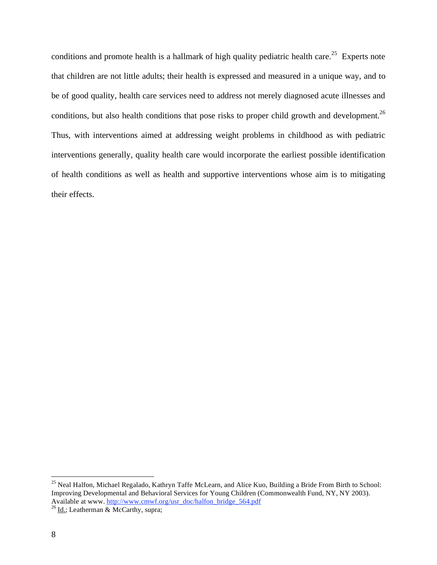conditions and promote health is a hallmark of high quality pediatric health care.<sup>25</sup> Experts note that children are not little adults; their health is expressed and measured in a unique way, and to be of good quality, health care services need to address not merely diagnosed acute illnesses and conditions, but also health conditions that pose risks to proper child growth and development.<sup>26</sup> Thus, with interventions aimed at addressing weight problems in childhood as with pediatric interventions generally, quality health care would incorporate the earliest possible identification of health conditions as well as health and supportive interventions whose aim is to mitigating their effects.

<sup>&</sup>lt;sup>25</sup> Neal Halfon, Michael Regalado, Kathryn Taffe McLearn, and Alice Kuo, Building a Bride From Birth to School: Improving Developmental and Behavioral Services for Young Children (Commonwealth Fund, NY, NY 2003). Available at www. http://www.cmwf.org/usr\_doc/halfon\_bridge\_564.pdf <sup>26</sup> Id.; Leatherman & McCarthy, supra;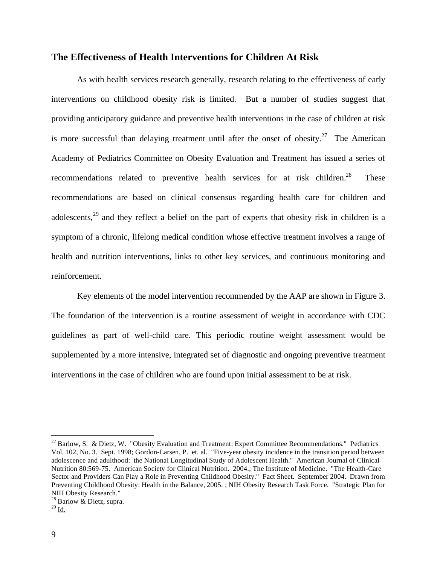# **The Effectiveness of Health Interventions for Children At Risk**

As with health services research generally, research relating to the effectiveness of early interventions on childhood obesity risk is limited. But a number of studies suggest that providing anticipatory guidance and preventive health interventions in the case of children at risk is more successful than delaying treatment until after the onset of obesity.<sup>27</sup> The American Academy of Pediatrics Committee on Obesity Evaluation and Treatment has issued a series of recommendations related to preventive health services for at risk children.<sup>28</sup> These recommendations are based on clinical consensus regarding health care for children and adolescents,<sup>29</sup> and they reflect a belief on the part of experts that obesity risk in children is a symptom of a chronic, lifelong medical condition whose effective treatment involves a range of health and nutrition interventions, links to other key services, and continuous monitoring and reinforcement.

Key elements of the model intervention recommended by the AAP are shown in Figure 3. The foundation of the intervention is a routine assessment of weight in accordance with CDC guidelines as part of well-child care. This periodic routine weight assessment would be supplemented by a more intensive, integrated set of diagnostic and ongoing preventive treatment interventions in the case of children who are found upon initial assessment to be at risk.

1

 $27$  Barlow, S. & Dietz, W. "Obesity Evaluation and Treatment: Expert Committee Recommendations." Pediatrics Vol. 102, No. 3. Sept. 1998; Gordon-Larsen, P. et. al. "Five-year obesity incidence in the transition period between adolescence and adulthood: the National Longitudinal Study of Adolescent Health." American Journal of Clinical Nutrition 80:569-75. American Society for Clinical Nutrition. 2004.; The Institute of Medicine. "The Health-Care Sector and Providers Can Play a Role in Preventing Childhood Obesity." Fact Sheet. September 2004. Drawn from Preventing Childhood Obesity: Health in the Balance, 2005. ; NIH Obesity Research Task Force. "Strategic Plan for NIH Obesity Research."

 $28$  Barlow & Dietz, supra.

 $^{29}$  Id.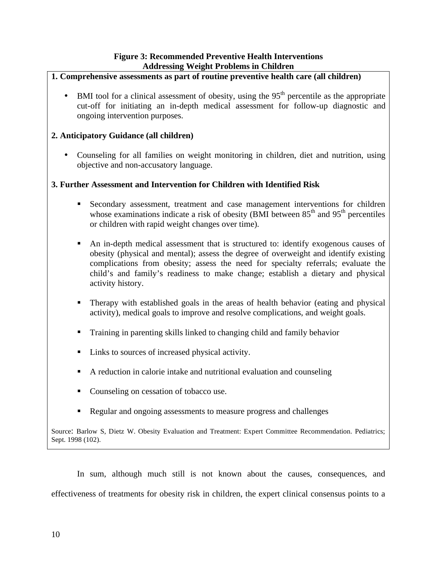# **Figure 3: Recommended Preventive Health Interventions Addressing Weight Problems in Children**

# **1. Comprehensive assessments as part of routine preventive health care (all children)**

BMI tool for a clinical assessment of obesity, using the  $95<sup>th</sup>$  percentile as the appropriate cut-off for initiating an in-depth medical assessment for follow-up diagnostic and ongoing intervention purposes.

# **2. Anticipatory Guidance (all children)**

• Counseling for all families on weight monitoring in children, diet and nutrition, using objective and non-accusatory language.

# **3. Further Assessment and Intervention for Children with Identified Risk**

- Secondary assessment, treatment and case management interventions for children whose examinations indicate a risk of obesity (BMI between  $85<sup>th</sup>$  and  $95<sup>th</sup>$  percentiles or children with rapid weight changes over time).
- An in-depth medical assessment that is structured to: identify exogenous causes of obesity (physical and mental); assess the degree of overweight and identify existing complications from obesity; assess the need for specialty referrals; evaluate the child's and family's readiness to make change; establish a dietary and physical activity history.
- Therapy with established goals in the areas of health behavior (eating and physical activity), medical goals to improve and resolve complications, and weight goals.
- Training in parenting skills linked to changing child and family behavior
- Links to sources of increased physical activity.
- A reduction in calorie intake and nutritional evaluation and counseling
- Counseling on cessation of tobacco use.
- Regular and ongoing assessments to measure progress and challenges

Source: Barlow S, Dietz W. Obesity Evaluation and Treatment: Expert Committee Recommendation. Pediatrics; Sept. 1998 (102).

In sum, although much still is not known about the causes, consequences, and effectiveness of treatments for obesity risk in children, the expert clinical consensus points to a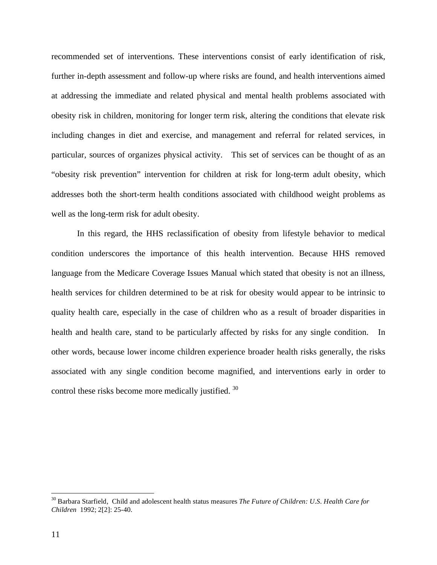recommended set of interventions. These interventions consist of early identification of risk, further in-depth assessment and follow-up where risks are found, and health interventions aimed at addressing the immediate and related physical and mental health problems associated with obesity risk in children, monitoring for longer term risk, altering the conditions that elevate risk including changes in diet and exercise, and management and referral for related services, in particular, sources of organizes physical activity. This set of services can be thought of as an "obesity risk prevention" intervention for children at risk for long-term adult obesity, which addresses both the short-term health conditions associated with childhood weight problems as well as the long-term risk for adult obesity.

In this regard, the HHS reclassification of obesity from lifestyle behavior to medical condition underscores the importance of this health intervention. Because HHS removed language from the Medicare Coverage Issues Manual which stated that obesity is not an illness, health services for children determined to be at risk for obesity would appear to be intrinsic to quality health care, especially in the case of children who as a result of broader disparities in health and health care, stand to be particularly affected by risks for any single condition. In other words, because lower income children experience broader health risks generally, the risks associated with any single condition become magnified, and interventions early in order to control these risks become more medically justified.<sup>30</sup>

<sup>30</sup> Barbara Starfield, Child and adolescent health status measures *The Future of Children: U.S. Health Care for Children* 1992; 2[2]: 25-40.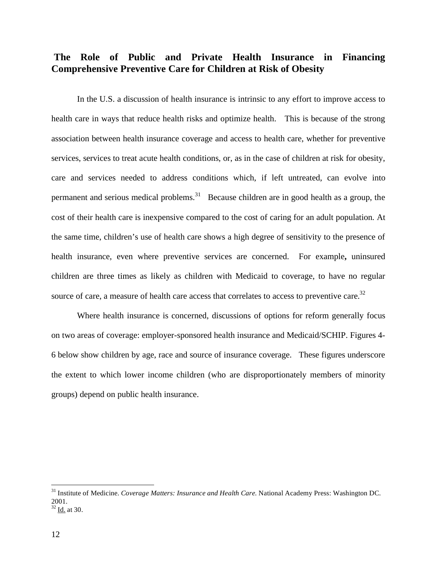# **The Role of Public and Private Health Insurance in Financing Comprehensive Preventive Care for Children at Risk of Obesity**

In the U.S. a discussion of health insurance is intrinsic to any effort to improve access to health care in ways that reduce health risks and optimize health. This is because of the strong association between health insurance coverage and access to health care, whether for preventive services, services to treat acute health conditions, or, as in the case of children at risk for obesity, care and services needed to address conditions which, if left untreated, can evolve into permanent and serious medical problems.<sup>31</sup> Because children are in good health as a group, the cost of their health care is inexpensive compared to the cost of caring for an adult population. At the same time, children's use of health care shows a high degree of sensitivity to the presence of health insurance, even where preventive services are concerned. For example**,** uninsured children are three times as likely as children with Medicaid to coverage, to have no regular source of care, a measure of health care access that correlates to access to preventive care.<sup>32</sup>

 Where health insurance is concerned, discussions of options for reform generally focus on two areas of coverage: employer-sponsored health insurance and Medicaid/SCHIP. Figures 4- 6 below show children by age, race and source of insurance coverage. These figures underscore the extent to which lower income children (who are disproportionately members of minority groups) depend on public health insurance.

<sup>&</sup>lt;sup>31</sup> Institute of Medicine. *Coverage Matters: Insurance and Health Care*. National Academy Press: Washington DC. 2001.

 $32$  Id. at 30.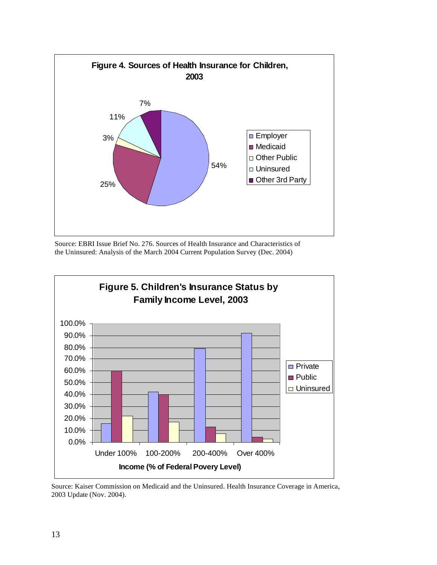

 Source: EBRI Issue Brief No. 276. Sources of Health Insurance and Characteristics of the Uninsured: Analysis of the March 2004 Current Population Survey (Dec. 2004)



Source: Kaiser Commission on Medicaid and the Uninsured. Health Insurance Coverage in America, 2003 Update (Nov. 2004).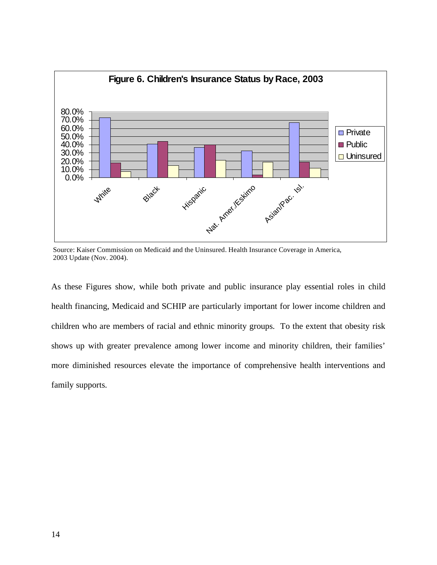

 Source: Kaiser Commission on Medicaid and the Uninsured. Health Insurance Coverage in America, 2003 Update (Nov. 2004).

As these Figures show, while both private and public insurance play essential roles in child health financing, Medicaid and SCHIP are particularly important for lower income children and children who are members of racial and ethnic minority groups. To the extent that obesity risk shows up with greater prevalence among lower income and minority children, their families' more diminished resources elevate the importance of comprehensive health interventions and family supports.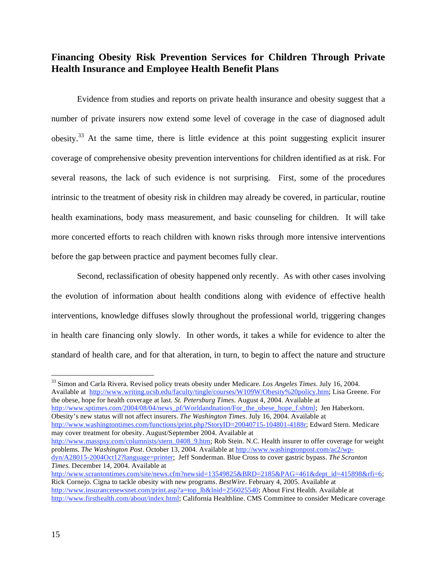# **Financing Obesity Risk Prevention Services for Children Through Private Health Insurance and Employee Health Benefit Plans**

Evidence from studies and reports on private health insurance and obesity suggest that a number of private insurers now extend some level of coverage in the case of diagnosed adult obesity.<sup>33</sup> At the same time, there is little evidence at this point suggesting explicit insurer coverage of comprehensive obesity prevention interventions for children identified as at risk. For several reasons, the lack of such evidence is not surprising. First, some of the procedures intrinsic to the treatment of obesity risk in children may already be covered, in particular, routine health examinations, body mass measurement, and basic counseling for children. It will take more concerted efforts to reach children with known risks through more intensive interventions before the gap between practice and payment becomes fully clear.

Second, reclassification of obesity happened only recently. As with other cases involving the evolution of information about health conditions along with evidence of effective health interventions, knowledge diffuses slowly throughout the professional world, triggering changes in health care financing only slowly. In other words, it takes a while for evidence to alter the standard of health care, and for that alteration, in turn, to begin to affect the nature and structure

33 Simon and Carla Rivera. Revised policy treats obesity under Medicare. *Los Angeles Times*. July 16, 2004. Available at http://www.writing.ucsb.edu/faculty/tingle/courses/W109W/Obesity%20policy.htm; Lisa Greene. For the obese, hope for health coverage at last. *St. Petersburg Times*. August 4, 2004. Available at http://www.sptimes.com/2004/08/04/news\_pf/Worldandnation/For\_the\_obese\_hope\_f.shtml; Jen Haberkorn.

Obesity's new status will not affect insurers. *The Washington Times*. July 16, 2004. Available at http://www.washingtontimes.com/functions/print.php?StoryID=20040715-104801-4188r; Edward Stern. Medicare may cover treatment for obesity. August/September 2004. Available at

http://www.masspsy.com/columnists/stern\_0408\_9.htm; Rob Stein. N.C. Health insurer to offer coverage for weight problems. *The Washington Post*. October 13, 2004. Available at http://www.washingtonpost.com/ac2/wp-

dyn/A28015-2004Oct12?language=printer; Jeff Sonderman. Blue Cross to cover gastric bypass. *The Scranton Times.* December 14, 2004. Available at

http://www.scrantontimes.com/site/news.cfm?newsid=13549825&BRD=2185&PAG=461&dept\_id=415898&rfi=6; Rick Cornejo. Cigna to tackle obesity with new programs. *BestWire*. February 4, 2005. Available at http://www.insurancenewsnet.com/print.asp?a=top\_lh&lnid=256025540; About First Health. Available at http://www.firsthealth.com/about/index.html; California Healthline. CMS Committee to consider Medicare coverage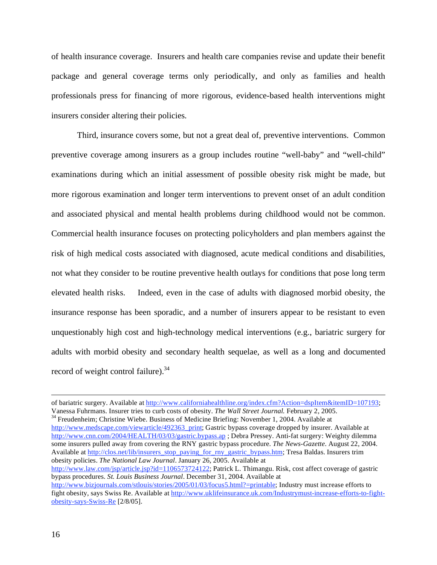of health insurance coverage. Insurers and health care companies revise and update their benefit package and general coverage terms only periodically, and only as families and health professionals press for financing of more rigorous, evidence-based health interventions might insurers consider altering their policies.

Third, insurance covers some, but not a great deal of, preventive interventions. Common preventive coverage among insurers as a group includes routine "well-baby" and "well-child" examinations during which an initial assessment of possible obesity risk might be made, but more rigorous examination and longer term interventions to prevent onset of an adult condition and associated physical and mental health problems during childhood would not be common. Commercial health insurance focuses on protecting policyholders and plan members against the risk of high medical costs associated with diagnosed, acute medical conditions and disabilities, not what they consider to be routine preventive health outlays for conditions that pose long term elevated health risks. Indeed, even in the case of adults with diagnosed morbid obesity, the insurance response has been sporadic, and a number of insurers appear to be resistant to even unquestionably high cost and high-technology medical interventions (e.g., bariatric surgery for adults with morbid obesity and secondary health sequelae, as well as a long and documented record of weight control failure). $34$ 

http://www.medscape.com/viewarticle/492363\_print; Gastric bypass coverage dropped by insurer. Available at http://www.cnn.com/2004/HEALTH/03/03/gastric.bypass.ap ; Debra Pressey. Anti-fat surgery: Weighty dilemma some insurers pulled away from covering the RNY gastric bypass procedure. *The News-Gazette*. August 22, 2004. Available at http://clos.net/lib/insurers\_stop\_paying\_for\_rny\_gastric\_bypass.htm; Tresa Baldas. Insurers trim obesity policies. *The National Law Journal*. January 26, 2005. Available at http://www.law.com/jsp/article.jsp?id=1106573724122; Patrick L. Thimangu. Risk, cost affect coverage of gastric

bypass procedures. *St. Louis Business Journal*. December 31, 2004. Available at http://www.bizjournals.com/stlouis/stories/2005/01/03/focus5.html?=printable; Industry must increase efforts to fight obesity, says Swiss Re. Available at http://www.uklifeinsurance.uk.com/Industrymust-increase-efforts-to-fightobesity-says-Swiss-Re [2/8/05].

of bariatric surgery. Available at http://www.californiahealthline.org/index.cfm?Action=dspItem&itemID=107193; Vanessa Fuhrmans. Insurer tries to curb costs of obesity. *The Wall Street Journal*. February 2, 2005.<br><sup>34</sup> Freudenheim; Christine Wiebe. Business of Medicine Briefing: November 1, 2004. Available at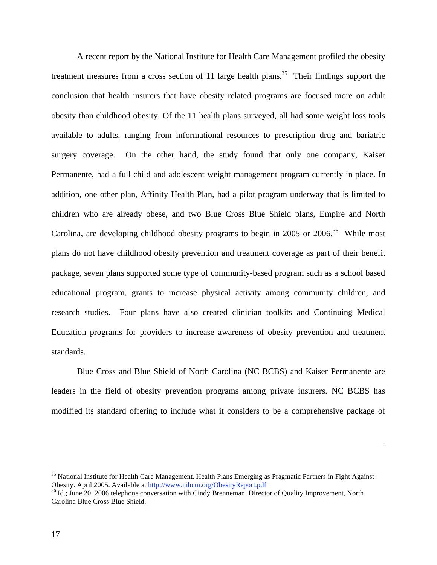A recent report by the National Institute for Health Care Management profiled the obesity treatment measures from a cross section of 11 large health plans.<sup>35</sup> Their findings support the conclusion that health insurers that have obesity related programs are focused more on adult obesity than childhood obesity. Of the 11 health plans surveyed, all had some weight loss tools available to adults, ranging from informational resources to prescription drug and bariatric surgery coverage. On the other hand, the study found that only one company, Kaiser Permanente, had a full child and adolescent weight management program currently in place. In addition, one other plan, Affinity Health Plan, had a pilot program underway that is limited to children who are already obese, and two Blue Cross Blue Shield plans, Empire and North Carolina, are developing childhood obesity programs to begin in 2005 or 2006.<sup>36</sup> While most plans do not have childhood obesity prevention and treatment coverage as part of their benefit package, seven plans supported some type of community-based program such as a school based educational program, grants to increase physical activity among community children, and research studies. Four plans have also created clinician toolkits and Continuing Medical Education programs for providers to increase awareness of obesity prevention and treatment standards.

Blue Cross and Blue Shield of North Carolina (NC BCBS) and Kaiser Permanente are leaders in the field of obesity prevention programs among private insurers. NC BCBS has modified its standard offering to include what it considers to be a comprehensive package of

<sup>&</sup>lt;sup>35</sup> National Institute for Health Care Management. Health Plans Emerging as Pragmatic Partners in Fight Against Obesity. April 2005. Available at http://www.nihcm.org/ObesityReport.pdf<br>
<sup>36</sup> Id.; June 20, 2006 telephone conversation with Cindy Brenneman, Director of Quality Improvement, North

Carolina Blue Cross Blue Shield.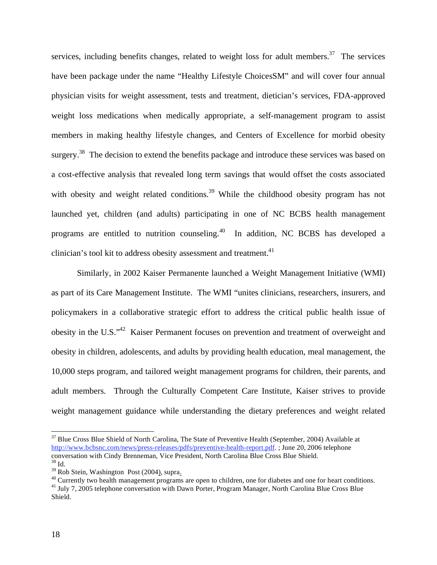services, including benefits changes, related to weight loss for adult members.<sup>37</sup> The services have been package under the name "Healthy Lifestyle ChoicesSM" and will cover four annual physician visits for weight assessment, tests and treatment, dietician's services, FDA-approved weight loss medications when medically appropriate, a self-management program to assist members in making healthy lifestyle changes, and Centers of Excellence for morbid obesity surgery.<sup>38</sup> The decision to extend the benefits package and introduce these services was based on a cost-effective analysis that revealed long term savings that would offset the costs associated with obesity and weight related conditions.<sup>39</sup> While the childhood obesity program has not launched yet, children (and adults) participating in one of NC BCBS health management programs are entitled to nutrition counseling.<sup>40</sup> In addition, NC BCBS has developed a clinician's tool kit to address obesity assessment and treatment.<sup>41</sup>

Similarly, in 2002 Kaiser Permanente launched a Weight Management Initiative (WMI) as part of its Care Management Institute. The WMI "unites clinicians, researchers, insurers, and policymakers in a collaborative strategic effort to address the critical public health issue of obesity in the U.S."42 Kaiser Permanent focuses on prevention and treatment of overweight and obesity in children, adolescents, and adults by providing health education, meal management, the 10,000 steps program, and tailored weight management programs for children, their parents, and adult members. Through the Culturally Competent Care Institute, Kaiser strives to provide weight management guidance while understanding the dietary preferences and weight related

<sup>&</sup>lt;sup>37</sup> Blue Cross Blue Shield of North Carolina, The State of Preventive Health (September, 2004) Available at http://www.bcbsnc.com/news/press-releases/pdfs/preventive-health-report.pdf. ; June 20, 2006 telephone conversation with Cindy Brenneman, Vice President, North Carolina Blue Cross Blue Shield.

 $\frac{38}{39}$  Id.<br> $\frac{39}{39}$  Rob Stein, Washington Post (2004), supra.

 $30$  Currently two health management programs are open to children, one for diabetes and one for heart conditions.

 $^{41}$  July 7, 2005 telephone conversation with Dawn Porter, Program Manager, North Carolina Blue Cross Blue Shield.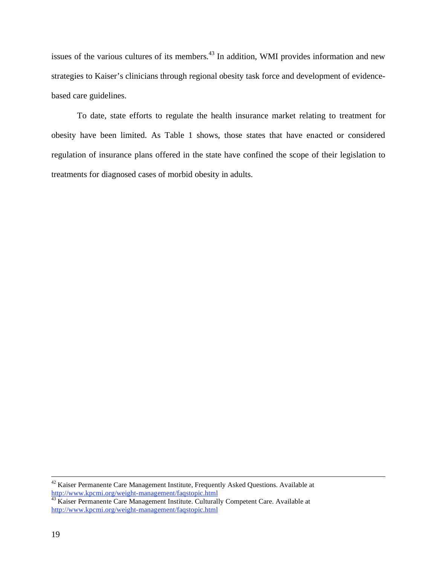issues of the various cultures of its members.<sup>43</sup> In addition, WMI provides information and new strategies to Kaiser's clinicians through regional obesity task force and development of evidencebased care guidelines.

To date, state efforts to regulate the health insurance market relating to treatment for obesity have been limited. As Table 1 shows, those states that have enacted or considered regulation of insurance plans offered in the state have confined the scope of their legislation to treatments for diagnosed cases of morbid obesity in adults.

 <sup>42</sup> Kaiser Permanente Care Management Institute, Frequently Asked Questions. Available at http://www.kpcmi.org/weight-management/faqstopic.html<br>
<sup>43</sup> Kaiser Permanente Care Management Institute. Culturally Competent Care. Available at

http://www.kpcmi.org/weight-management/faqstopic.html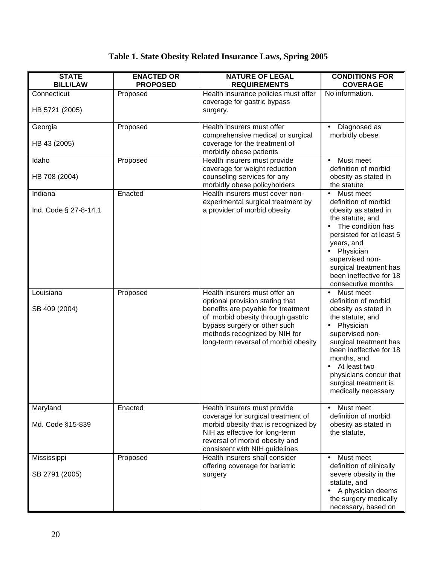# **Table 1. State Obesity Related Insurance Laws, Spring 2005**

| <b>STATE</b><br><b>BILL/LAW</b>  | <b>ENACTED OR</b><br><b>PROPOSED</b> | <b>NATURE OF LEGAL</b><br><b>REQUIREMENTS</b>                                                                                                                                                                                                        | <b>CONDITIONS FOR</b><br><b>COVERAGE</b>                                                                                                                                                                                                                                    |
|----------------------------------|--------------------------------------|------------------------------------------------------------------------------------------------------------------------------------------------------------------------------------------------------------------------------------------------------|-----------------------------------------------------------------------------------------------------------------------------------------------------------------------------------------------------------------------------------------------------------------------------|
| Connecticut<br>HB 5721 (2005)    | Proposed                             | Health insurance policies must offer<br>coverage for gastric bypass<br>surgery.                                                                                                                                                                      | No information.                                                                                                                                                                                                                                                             |
| Georgia<br>HB 43 (2005)          | Proposed                             | Health insurers must offer<br>comprehensive medical or surgical<br>coverage for the treatment of<br>morbidly obese patients                                                                                                                          | Diagnosed as<br>morbidly obese                                                                                                                                                                                                                                              |
| Idaho<br>HB 708 (2004)           | Proposed                             | Health insurers must provide<br>coverage for weight reduction<br>counseling services for any<br>morbidly obese policyholders                                                                                                                         | Must meet<br>definition of morbid<br>obesity as stated in<br>the statute                                                                                                                                                                                                    |
| Indiana<br>Ind. Code § 27-8-14.1 | Enacted                              | Health insurers must cover non-<br>experimental surgical treatment by<br>a provider of morbid obesity                                                                                                                                                | Must meet<br>$\bullet$<br>definition of morbid<br>obesity as stated in<br>the statute, and<br>The condition has<br>persisted for at least 5<br>years, and<br>Physician<br>supervised non-<br>surgical treatment has<br>been ineffective for 18<br>consecutive months        |
| Louisiana<br>SB 409 (2004)       | Proposed                             | Health insurers must offer an<br>optional provision stating that<br>benefits are payable for treatment<br>of morbid obesity through gastric<br>bypass surgery or other such<br>methods recognized by NIH for<br>long-term reversal of morbid obesity | Must meet<br>definition of morbid<br>obesity as stated in<br>the statute, and<br>Physician<br>supervised non-<br>surgical treatment has<br>been ineffective for 18<br>months, and<br>At least two<br>physicians concur that<br>surgical treatment is<br>medically necessary |
| Maryland<br>Md. Code §15-839     | Enacted                              | Health insurers must provide<br>coverage for surgical treatment of<br>morbid obesity that is recognized by<br>NIH as effective for long-term<br>reversal of morbid obesity and<br>consistent with NIH guidelines                                     | Must meet<br>definition of morbid<br>obesity as stated in<br>the statute,                                                                                                                                                                                                   |
| Mississippi<br>SB 2791 (2005)    | Proposed                             | Health insurers shall consider<br>offering coverage for bariatric<br>surgery                                                                                                                                                                         | Must meet<br>definition of clinically<br>severe obesity in the<br>statute, and<br>A physician deems<br>the surgery medically<br>necessary, based on                                                                                                                         |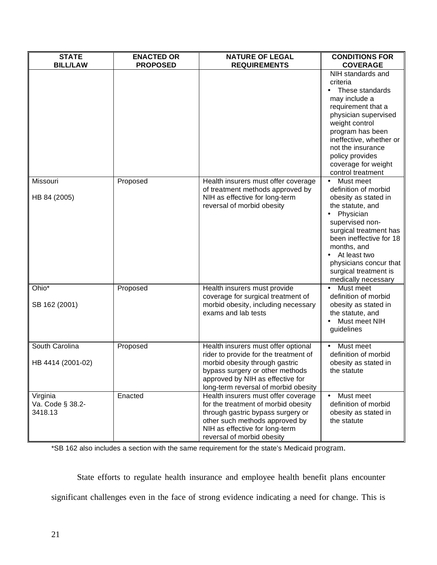| <b>STATE</b><br><b>BILL/LAW</b>         | <b>ENACTED OR</b><br><b>PROPOSED</b> | <b>NATURE OF LEGAL</b><br><b>REQUIREMENTS</b>                                                                                                                                                                                 | <b>CONDITIONS FOR</b><br><b>COVERAGE</b>                                                                                                                                                                                                                                    |
|-----------------------------------------|--------------------------------------|-------------------------------------------------------------------------------------------------------------------------------------------------------------------------------------------------------------------------------|-----------------------------------------------------------------------------------------------------------------------------------------------------------------------------------------------------------------------------------------------------------------------------|
|                                         |                                      |                                                                                                                                                                                                                               | NIH standards and<br>criteria<br>These standards<br>may include a<br>requirement that a<br>physician supervised<br>weight control<br>program has been<br>ineffective, whether or<br>not the insurance<br>policy provides<br>coverage for weight<br>control treatment        |
| Missouri<br>HB 84 (2005)                | Proposed                             | Health insurers must offer coverage<br>of treatment methods approved by<br>NIH as effective for long-term<br>reversal of morbid obesity                                                                                       | Must meet<br>definition of morbid<br>obesity as stated in<br>the statute, and<br>Physician<br>supervised non-<br>surgical treatment has<br>been ineffective for 18<br>months, and<br>At least two<br>physicians concur that<br>surgical treatment is<br>medically necessary |
| Ohio*<br>SB 162 (2001)                  | Proposed                             | Health insurers must provide<br>coverage for surgical treatment of<br>morbid obesity, including necessary<br>exams and lab tests                                                                                              | Must meet<br>definition of morbid<br>obesity as stated in<br>the statute, and<br>Must meet NIH<br>guidelines                                                                                                                                                                |
| South Carolina<br>HB 4414 (2001-02)     | Proposed                             | Health insurers must offer optional<br>rider to provide for the treatment of<br>morbid obesity through gastric<br>bypass surgery or other methods<br>approved by NIH as effective for<br>long-term reversal of morbid obesity | Must meet<br>definition of morbid<br>obesity as stated in<br>the statute                                                                                                                                                                                                    |
| Virginia<br>Va. Code § 38.2-<br>3418.13 | Enacted                              | Health insurers must offer coverage<br>for the treatment of morbid obesity<br>through gastric bypass surgery or<br>other such methods approved by<br>NIH as effective for long-term<br>reversal of morbid obesity             | Must meet<br>definition of morbid<br>obesity as stated in<br>the statute                                                                                                                                                                                                    |

\*SB 162 also includes a section with the same requirement for the state's Medicaid program.

State efforts to regulate health insurance and employee health benefit plans encounter significant challenges even in the face of strong evidence indicating a need for change. This is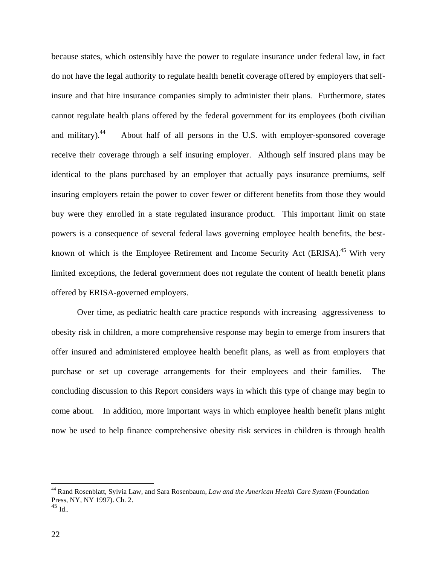because states, which ostensibly have the power to regulate insurance under federal law, in fact do not have the legal authority to regulate health benefit coverage offered by employers that selfinsure and that hire insurance companies simply to administer their plans. Furthermore, states cannot regulate health plans offered by the federal government for its employees (both civilian and military).<sup>44</sup> About half of all persons in the U.S. with employer-sponsored coverage receive their coverage through a self insuring employer. Although self insured plans may be identical to the plans purchased by an employer that actually pays insurance premiums, self insuring employers retain the power to cover fewer or different benefits from those they would buy were they enrolled in a state regulated insurance product. This important limit on state powers is a consequence of several federal laws governing employee health benefits, the bestknown of which is the Employee Retirement and Income Security Act (ERISA).<sup>45</sup> With very limited exceptions, the federal government does not regulate the content of health benefit plans offered by ERISA-governed employers.

Over time, as pediatric health care practice responds with increasing aggressiveness to obesity risk in children, a more comprehensive response may begin to emerge from insurers that offer insured and administered employee health benefit plans, as well as from employers that purchase or set up coverage arrangements for their employees and their families. The concluding discussion to this Report considers ways in which this type of change may begin to come about. In addition, more important ways in which employee health benefit plans might now be used to help finance comprehensive obesity risk services in children is through health

 $^{45}$  Id...

1

<sup>44</sup> Rand Rosenblatt, Sylvia Law, and Sara Rosenbaum, *Law and the American Health Care System* (Foundation Press, NY, NY 1997). Ch. 2.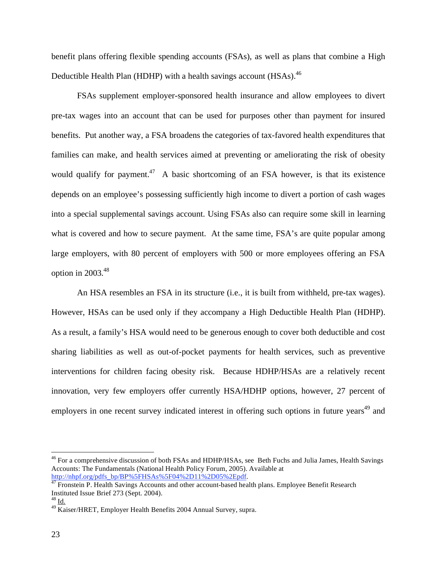benefit plans offering flexible spending accounts (FSAs), as well as plans that combine a High Deductible Health Plan (HDHP) with a health savings account (HSAs).<sup>46</sup>

FSAs supplement employer-sponsored health insurance and allow employees to divert pre-tax wages into an account that can be used for purposes other than payment for insured benefits. Put another way, a FSA broadens the categories of tax-favored health expenditures that families can make, and health services aimed at preventing or ameliorating the risk of obesity would qualify for payment.<sup>47</sup> A basic shortcoming of an FSA however, is that its existence depends on an employee's possessing sufficiently high income to divert a portion of cash wages into a special supplemental savings account. Using FSAs also can require some skill in learning what is covered and how to secure payment. At the same time, FSA's are quite popular among large employers, with 80 percent of employers with 500 or more employees offering an FSA option in  $2003.<sup>48</sup>$ 

An HSA resembles an FSA in its structure (i.e., it is built from withheld, pre-tax wages). However, HSAs can be used only if they accompany a High Deductible Health Plan (HDHP). As a result, a family's HSA would need to be generous enough to cover both deductible and cost sharing liabilities as well as out-of-pocket payments for health services, such as preventive interventions for children facing obesity risk. Because HDHP/HSAs are a relatively recent innovation, very few employers offer currently HSA/HDHP options, however, 27 percent of employers in one recent survey indicated interest in offering such options in future years<sup>49</sup> and

<sup>&</sup>lt;sup>46</sup> For a comprehensive discussion of both FSAs and HDHP/HSAs, see Beth Fuchs and Julia James, Health Savings Accounts: The Fundamentals (National Health Policy Forum, 2005). Available at

http://nhpf.org/pdfs\_bp/BP%5FHSAs%5F04%2D11%2D05%2Epdf.<br><sup>47</sup> Fronstein P. Health Savings Accounts and other account-based health plans. Employee Benefit Research Instituted Issue Brief 273 (Sept. 2004).

 $^{48}$  <u>Id.</u>

<sup>49</sup> Kaiser/HRET, Employer Health Benefits 2004 Annual Survey, supra.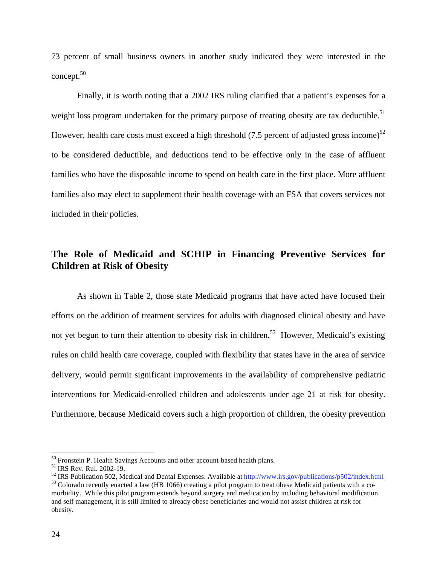73 percent of small business owners in another study indicated they were interested in the concept.<sup>50</sup>

Finally, it is worth noting that a 2002 IRS ruling clarified that a patient's expenses for a weight loss program undertaken for the primary purpose of treating obesity are tax deductible.<sup>51</sup> However, health care costs must exceed a high threshold  $(7.5$  percent of adjusted gross income)<sup>52</sup> to be considered deductible, and deductions tend to be effective only in the case of affluent families who have the disposable income to spend on health care in the first place. More affluent families also may elect to supplement their health coverage with an FSA that covers services not included in their policies.

# **The Role of Medicaid and SCHIP in Financing Preventive Services for Children at Risk of Obesity**

As shown in Table 2, those state Medicaid programs that have acted have focused their efforts on the addition of treatment services for adults with diagnosed clinical obesity and have not yet begun to turn their attention to obesity risk in children.<sup>53</sup> However, Medicaid's existing rules on child health care coverage, coupled with flexibility that states have in the area of service delivery, would permit significant improvements in the availability of comprehensive pediatric interventions for Medicaid-enrolled children and adolescents under age 21 at risk for obesity. Furthermore, because Medicaid covers such a high proportion of children, the obesity prevention

<sup>&</sup>lt;sup>50</sup> Fronstein P. Health Savings Accounts and other account-based health plans.

<sup>51</sup> IRS Rev. Rul. 2002-19.

<sup>&</sup>lt;sup>52</sup> IRS Publication 502, Medical and Dental Expenses. Available at  $\frac{http://www.irs.gov/publications/p502/index.html}{http://www.irs.gov/publications/p502/index.html}$ <br><sup>53</sup> Colorado recently enacted a law (HB 1066) creating a pilot program to treat obese Medicaid patients with a co-

morbidity. While this pilot program extends beyond surgery and medication by including behavioral modification and self management, it is still limited to already obese beneficiaries and would not assist children at risk for obesity.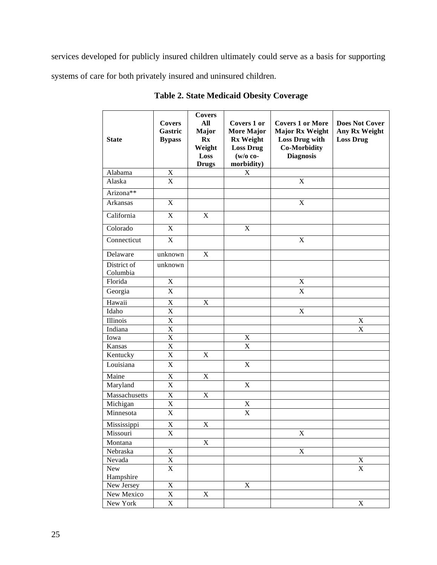services developed for publicly insured children ultimately could serve as a basis for supporting systems of care for both privately insured and uninsured children.

| <b>State</b>            | <b>Covers</b><br>Gastric<br><b>Bypass</b> | <b>Covers</b><br>$\mathbf{All}$<br><b>Major</b><br>$\mathbf{R} \mathbf{x}$<br>Weight<br>Loss<br><b>Drugs</b> | <b>Covers 1 or</b><br>More Major<br><b>Rx Weight</b><br><b>Loss Drug</b><br>$(w/o \text{ co-}$<br>morbidity) | <b>Covers 1 or More</b><br><b>Major Rx Weight</b><br>Loss Drug with<br><b>Co-Morbidity</b><br><b>Diagnosis</b> | <b>Does Not Cover</b><br>Any Rx Weight<br><b>Loss Drug</b> |
|-------------------------|-------------------------------------------|--------------------------------------------------------------------------------------------------------------|--------------------------------------------------------------------------------------------------------------|----------------------------------------------------------------------------------------------------------------|------------------------------------------------------------|
| Alabama                 | $\mathbf X$                               |                                                                                                              | $\mathbf X$                                                                                                  |                                                                                                                |                                                            |
| Alaska                  | X                                         |                                                                                                              |                                                                                                              | $\mathbf X$                                                                                                    |                                                            |
| Arizona <sup>**</sup>   |                                           |                                                                                                              |                                                                                                              |                                                                                                                |                                                            |
| Arkansas                | $\bf{X}$                                  |                                                                                                              |                                                                                                              | X                                                                                                              |                                                            |
| California              | X                                         | $\mathbf X$                                                                                                  |                                                                                                              |                                                                                                                |                                                            |
| Colorado                | $\overline{X}$                            |                                                                                                              | $\mathbf X$                                                                                                  |                                                                                                                |                                                            |
| Connecticut             | X                                         |                                                                                                              |                                                                                                              | $\mathbf X$                                                                                                    |                                                            |
| Delaware                | unknown                                   | $\mathbf X$                                                                                                  |                                                                                                              |                                                                                                                |                                                            |
| District of<br>Columbia | unknown                                   |                                                                                                              |                                                                                                              |                                                                                                                |                                                            |
| Florida                 | $\overline{X}$                            |                                                                                                              |                                                                                                              | $\overline{\text{X}}$                                                                                          |                                                            |
| Georgia                 | $\mathbf X$                               |                                                                                                              |                                                                                                              | $\mathbf X$                                                                                                    |                                                            |
| Hawaii                  | X                                         | X                                                                                                            |                                                                                                              |                                                                                                                |                                                            |
| Idaho                   | $\overline{X}$                            |                                                                                                              |                                                                                                              | $\boldsymbol{\mathrm{X}}$                                                                                      |                                                            |
| Illinois                | $\overline{\mathbf{X}}$                   |                                                                                                              |                                                                                                              |                                                                                                                | $\mathbf X$                                                |
| Indiana                 | $\overline{\mathbf{X}}$                   |                                                                                                              |                                                                                                              |                                                                                                                | X                                                          |
| Iowa                    | $\overline{\textbf{X}}$                   |                                                                                                              | $\mathbf X$                                                                                                  |                                                                                                                |                                                            |
| Kansas                  | $\overline{\textbf{X}}$                   |                                                                                                              | $\overline{\mathrm{X}}$                                                                                      |                                                                                                                |                                                            |
| Kentucky                | $\overline{X}$                            | $\boldsymbol{\mathrm{X}}$                                                                                    |                                                                                                              |                                                                                                                |                                                            |
| Louisiana               | $\overline{X}$                            |                                                                                                              | $\mathbf X$                                                                                                  |                                                                                                                |                                                            |
| Maine                   | X                                         | $\mathbf X$                                                                                                  |                                                                                                              |                                                                                                                |                                                            |
| Maryland                | X                                         |                                                                                                              | $\mathbf X$                                                                                                  |                                                                                                                |                                                            |
| Massachusetts           | $\overline{\mathbf{X}}$                   | X                                                                                                            |                                                                                                              |                                                                                                                |                                                            |
| Michigan                | $\overline{X}$                            |                                                                                                              | $\mathbf X$                                                                                                  |                                                                                                                |                                                            |
| Minnesota               | $\mathbf X$                               |                                                                                                              | X                                                                                                            |                                                                                                                |                                                            |
| Mississippi             | $\mathbf X$                               | $\mathbf X$                                                                                                  |                                                                                                              |                                                                                                                |                                                            |
| Missouri                | $\mathbf X$                               |                                                                                                              |                                                                                                              | $\mathbf X$                                                                                                    |                                                            |
| Montana                 |                                           | $\mathbf X$                                                                                                  |                                                                                                              |                                                                                                                |                                                            |
| Nebraska                | $\mathbf X$                               |                                                                                                              |                                                                                                              | $\overline{\mathbf{X}}$                                                                                        |                                                            |
| Nevada                  | $\overline{\text{X}}$                     |                                                                                                              |                                                                                                              |                                                                                                                | $\mathbf X$                                                |
| New                     | $\overline{X}$                            |                                                                                                              |                                                                                                              |                                                                                                                | $\overline{\mathbf{X}}$                                    |
| Hampshire               |                                           |                                                                                                              |                                                                                                              |                                                                                                                |                                                            |
| New Jersey              | $\overline{\mathbf{X}}$                   |                                                                                                              | $\mathbf X$                                                                                                  |                                                                                                                |                                                            |
| New Mexico              | $\overline{\mathbf{X}}$                   | $\mathbf X$                                                                                                  |                                                                                                              |                                                                                                                |                                                            |
| New York                | $\mathbf X$                               |                                                                                                              |                                                                                                              |                                                                                                                | X                                                          |

**Table 2. State Medicaid Obesity Coverage**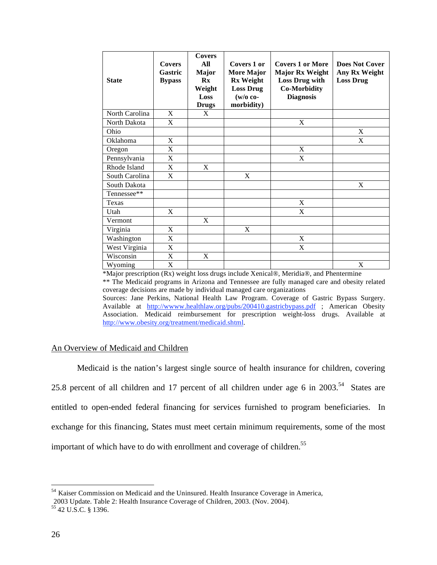| <b>State</b>   | <b>Covers</b><br>Gastric<br><b>Bypass</b> | <b>Covers</b><br>All<br><b>Major</b><br>$\mathbf{R}\mathbf{x}$<br>Weight<br>Loss<br><b>Drugs</b> | Covers 1 or<br><b>More Major</b><br><b>Rx Weight</b><br><b>Loss Drug</b><br>$(w/o \co$ -<br>morbidity) | <b>Covers 1 or More</b><br><b>Major Rx Weight</b><br>Loss Drug with<br><b>Co-Morbidity</b><br><b>Diagnosis</b> | <b>Does Not Cover</b><br>Any Rx Weight<br><b>Loss Drug</b> |
|----------------|-------------------------------------------|--------------------------------------------------------------------------------------------------|--------------------------------------------------------------------------------------------------------|----------------------------------------------------------------------------------------------------------------|------------------------------------------------------------|
| North Carolina | X                                         | X                                                                                                |                                                                                                        |                                                                                                                |                                                            |
| North Dakota   | X                                         |                                                                                                  |                                                                                                        | X                                                                                                              |                                                            |
| Ohio           |                                           |                                                                                                  |                                                                                                        |                                                                                                                | X                                                          |
| Oklahoma       | $\mathbf X$                               |                                                                                                  |                                                                                                        |                                                                                                                | X                                                          |
| Oregon         | X                                         |                                                                                                  |                                                                                                        | X                                                                                                              |                                                            |
| Pennsylvania   | X                                         |                                                                                                  |                                                                                                        | X                                                                                                              |                                                            |
| Rhode Island   | X                                         | X                                                                                                |                                                                                                        |                                                                                                                |                                                            |
| South Carolina | X                                         |                                                                                                  | X                                                                                                      |                                                                                                                |                                                            |
| South Dakota   |                                           |                                                                                                  |                                                                                                        |                                                                                                                | X                                                          |
| Tennessee**    |                                           |                                                                                                  |                                                                                                        |                                                                                                                |                                                            |
| Texas          |                                           |                                                                                                  |                                                                                                        | X                                                                                                              |                                                            |
| Utah           | X                                         |                                                                                                  |                                                                                                        | X                                                                                                              |                                                            |
| Vermont        |                                           | X                                                                                                |                                                                                                        |                                                                                                                |                                                            |
| Virginia       | X                                         |                                                                                                  | X                                                                                                      |                                                                                                                |                                                            |
| Washington     | $\mathbf X$                               |                                                                                                  |                                                                                                        | $\mathbf X$                                                                                                    |                                                            |
| West Virginia  | X                                         |                                                                                                  |                                                                                                        | X                                                                                                              |                                                            |
| Wisconsin      | $\mathbf X$                               | X                                                                                                |                                                                                                        |                                                                                                                |                                                            |
| Wyoming        | X                                         |                                                                                                  |                                                                                                        |                                                                                                                | X                                                          |

\*Major prescription (Rx) weight loss drugs include Xenical®, Meridia®, and Phentermine

\*\* The Medicaid programs in Arizona and Tennessee are fully managed care and obesity related coverage decisions are made by individual managed care organizations

Sources: Jane Perkins, National Health Law Program. Coverage of Gastric Bypass Surgery. Available at http://www.healthlaw.org/pubs/200410.gastricbypass.pdf ; American Obesity Association. Medicaid reimbursement for prescription weight-loss drugs. Available at http://www.obesity.org/treatment/medicaid.shtml.

#### An Overview of Medicaid and Children

 Medicaid is the nation's largest single source of health insurance for children, covering 25.8 percent of all children and 17 percent of all children under age 6 in 2003.<sup>54</sup> States are entitled to open-ended federal financing for services furnished to program beneficiaries. In exchange for this financing, States must meet certain minimum requirements, some of the most important of which have to do with enrollment and coverage of children.<sup>55</sup>

<sup>&</sup>lt;sup>54</sup> Kaiser Commission on Medicaid and the Uninsured. Health Insurance Coverage in America,

<sup>2003</sup> Update. Table 2: Health Insurance Coverage of Children, 2003. (Nov. 2004).

<sup>55 42</sup> U.S.C. § 1396.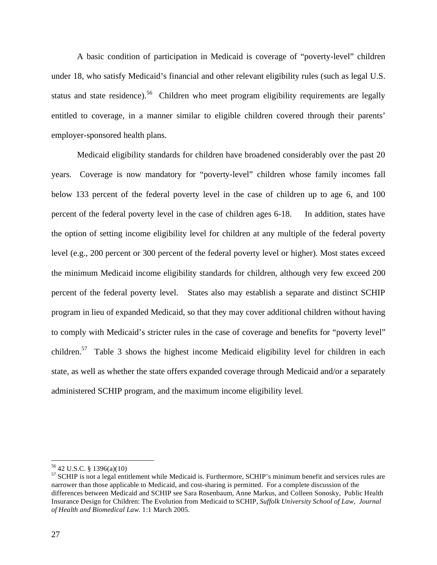A basic condition of participation in Medicaid is coverage of "poverty-level" children under 18, who satisfy Medicaid's financial and other relevant eligibility rules (such as legal U.S. status and state residence).<sup>56</sup> Children who meet program eligibility requirements are legally entitled to coverage, in a manner similar to eligible children covered through their parents' employer-sponsored health plans.

Medicaid eligibility standards for children have broadened considerably over the past 20 years. Coverage is now mandatory for "poverty-level" children whose family incomes fall below 133 percent of the federal poverty level in the case of children up to age 6, and 100 percent of the federal poverty level in the case of children ages 6-18. In addition, states have the option of setting income eligibility level for children at any multiple of the federal poverty level (e.g., 200 percent or 300 percent of the federal poverty level or higher). Most states exceed the minimum Medicaid income eligibility standards for children, although very few exceed 200 percent of the federal poverty level. States also may establish a separate and distinct SCHIP program in lieu of expanded Medicaid, so that they may cover additional children without having to comply with Medicaid's stricter rules in the case of coverage and benefits for "poverty level" children.57 Table 3 shows the highest income Medicaid eligibility level for children in each state, as well as whether the state offers expanded coverage through Medicaid and/or a separately administered SCHIP program, and the maximum income eligibility level.

1

<sup>56 42</sup> U.S.C. § 1396(a)(10)

<sup>&</sup>lt;sup>57</sup> SCHIP is not a legal entitlement while Medicaid is. Furthermore, SCHIP's minimum benefit and services rules are narrower than those applicable to Medicaid, and cost-sharing is permitted. For a complete discussion of the differences between Medicaid and SCHIP see Sara Rosenbaum, Anne Markus, and Colleen Sonosky, Public Health Insurance Design for Children: The Evolution from Medicaid to SCHIP, *Suffolk University School of Law, Journal of Health and Biomedical Law.* 1:1 March 2005.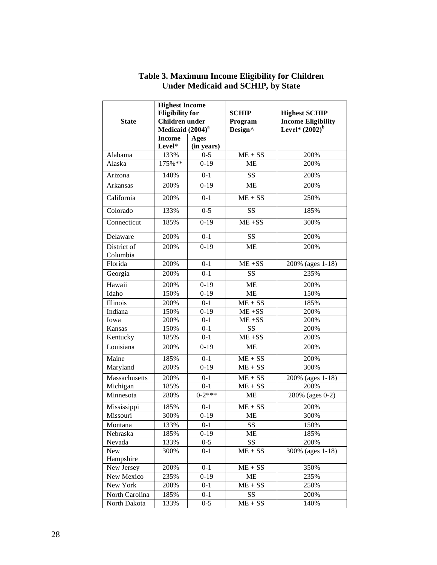|                                       | <b>Highest Income</b>  |             |                            |                      |
|---------------------------------------|------------------------|-------------|----------------------------|----------------------|
|                                       | <b>Eligibility for</b> |             | <b>SCHIP</b>               | <b>Highest SCHIP</b> |
| <b>Children</b> under<br><b>State</b> |                        | Program     | <b>Income Eligibility</b>  |                      |
|                                       | Medicaid $(2004)^a$    |             | Design^                    | Level* $(2002)^{b}$  |
|                                       | <b>Income</b>          | <b>Ages</b> |                            |                      |
|                                       | Level*                 | (in years)  |                            |                      |
| Alabama                               | 133%                   | $0 - 5$     | $ME + SS$                  | 200%                 |
| Alaska                                | 175%**                 | $0-19$      | <b>ME</b>                  | 200%                 |
| Arizona                               | 140%                   | $0 - 1$     | <b>SS</b>                  | 200%                 |
| Arkansas                              | 200%                   | $0-19$      | <b>ME</b>                  | 200%                 |
| California                            | 200%                   | $0 - 1$     | $ME + SS$                  | 250%                 |
| Colorado                              | 133%                   | $0 - 5$     | SS                         | 185%                 |
| Connecticut                           | 185%                   | $0-19$      | $ME + SS$                  | 300%                 |
| Delaware                              | 200%                   | $0 - 1$     | SS                         | 200%                 |
| District of<br>Columbia               | 200%                   | $0-19$      | <b>ME</b>                  | 200%                 |
| Florida                               | 200%                   | $0 - 1$     | $ME + SS$                  | 200% (ages 1-18)     |
| Georgia                               | 200%                   | $0 - 1$     | SS                         | 235%                 |
| Hawaii                                | 200%                   | $0-19$      | <b>ME</b>                  | 200%                 |
| Idaho                                 | 150%                   | $0-19$      | ME                         | 150%                 |
| Illinois                              | 200%                   | $0 - 1$     | $ME + SS$                  | 185%                 |
| Indiana                               | 150%                   | $0-19$      | $ME + SS$                  | 200%                 |
| Iowa                                  | 200%                   | $0 - 1$     | $ME + SS$                  | 200%                 |
| Kansas                                | 150%                   | $0 - 1$     | SS                         | 200%                 |
| Kentucky                              | 185%                   | $0 - 1$     | $\overline{\text{ME}}$ +SS | 200%                 |
| Louisiana                             | 200%                   | $0 - 19$    | <b>ME</b>                  | 200%                 |
| Maine                                 | 185%                   | $0 - 1$     | $ME + SS$                  | 200%                 |
| Maryland                              | 200%                   | $0-19$      | $ME + SS$                  | 300%                 |
| Massachusetts                         | 200%                   | $0 - 1$     | $ME + SS$                  | 200% (ages 1-18)     |
| Michigan                              | 185%                   | $0 - 1$     | $ME + SS$                  | 200%                 |
| Minnesota                             | 280%                   | $0-2$ ***   | <b>ME</b>                  | 280% (ages 0-2)      |
| Mississippi                           | 185%                   | $0 - 1$     | $ME + SS$                  | 200%                 |
| Missouri                              | 300%                   | $0 - 19$    | <b>ME</b>                  | 300%                 |
| Montana                               | 133%                   | $0 - 1$     | SS                         | 150%                 |
| Nebraska                              | 185%                   | $0-19$      | <b>ME</b>                  | 185%                 |
| Nevada                                | 133%                   | $0 - 5$     | <b>SS</b>                  | 200%                 |
| New                                   | 300%                   | $0 - 1$     | $ME + SS$                  | 300% (ages 1-18)     |
| Hampshire                             |                        |             |                            |                      |
| New Jersey                            | 200%                   | $0 - 1$     | $ME + SS$                  | 350%                 |
| New Mexico                            | 235%                   | $0-19$      | ME                         | 235%                 |
| New York                              | 200%                   | $0 - 1$     | $ME + SS$                  | 250%                 |
| North Carolina                        | 185%                   | $0 - 1$     | SS                         | 200%                 |
| North Dakota                          | 133%                   | $0 - 5$     | $ME + SS$                  | 140%                 |

# **Table 3. Maximum Income Eligibility for Children Under Medicaid and SCHIP, by State**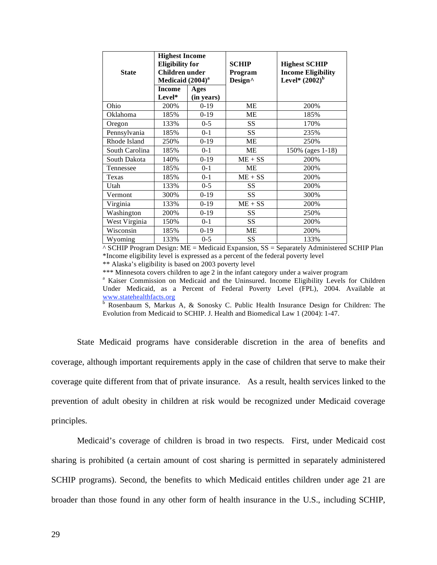| <b>State</b>   | <b>Highest Income</b><br><b>Eligibility for</b><br><b>Children</b> under<br>Medicaid $(2004)^a$ |         | <b>SCHIP</b><br>Program<br>Design^ | <b>Highest SCHIP</b><br><b>Income Eligibility</b><br>Level* $(2002)^b$ |
|----------------|-------------------------------------------------------------------------------------------------|---------|------------------------------------|------------------------------------------------------------------------|
|                | <b>Income</b><br>Ages<br>Level*<br>(in years)                                                   |         |                                    |                                                                        |
| Ohio           | 200%                                                                                            | $0-19$  | ME                                 | 200%                                                                   |
| Oklahoma       | 185%                                                                                            | $0-19$  | <b>ME</b>                          | 185%                                                                   |
| Oregon         | 133%                                                                                            | $0 - 5$ | <b>SS</b>                          | 170%                                                                   |
| Pennsylvania   | 185%                                                                                            | $0 - 1$ | SS                                 | 235%                                                                   |
| Rhode Island   | 250%                                                                                            | $0-19$  | ME                                 | 250%                                                                   |
| South Carolina | 185%                                                                                            | $0 - 1$ | ME                                 | 150% (ages 1-18)                                                       |
| South Dakota   | 140%                                                                                            | $0-19$  | $ME + SS$                          | 200%                                                                   |
| Tennessee      | 185%                                                                                            | $0 - 1$ | ME                                 | 200%                                                                   |
| Texas          | 185%                                                                                            | $0 - 1$ | $ME + SS$                          | 200%                                                                   |
| Utah           | 133%                                                                                            | $0 - 5$ | SS                                 | 200%                                                                   |
| Vermont        | 300%                                                                                            | $0-19$  | <b>SS</b>                          | 300%                                                                   |
| Virginia       | 133%                                                                                            | $0-19$  | $ME + SS$                          | 200%                                                                   |
| Washington     | 200%                                                                                            | $0-19$  | SS                                 | 250%                                                                   |
| West Virginia  | 150%                                                                                            | $0 - 1$ | <b>SS</b>                          | 200%                                                                   |
| Wisconsin      | 185%                                                                                            | $0-19$  | <b>ME</b>                          | 200%                                                                   |
| Wyoming        | 133%                                                                                            | $0 - 5$ | SS                                 | 133%                                                                   |

 $\triangle$  SCHIP Program Design: ME = Medicaid Expansion, SS = Separately Administered SCHIP Plan \*Income eligibility level is expressed as a percent of the federal poverty level

\*\* Alaska's eligibility is based on 2003 poverty level

\*\*\* Minnesota covers children to age 2 in the infant category under a waiver program

<sup>a</sup> Kaiser Commission on Medicaid and the Uninsured. Income Eligibility Levels for Children Under Medicaid, as a Percent of Federal Poverty Level (FPL), 2004. Available at www.statehealthfacts.org

<sup>b</sup> Rosenbaum S, Markus A, & Sonosky C. Public Health Insurance Design for Children: The Evolution from Medicaid to SCHIP. J. Health and Biomedical Law 1 (2004): 1-47.

State Medicaid programs have considerable discretion in the area of benefits and coverage, although important requirements apply in the case of children that serve to make their coverage quite different from that of private insurance. As a result, health services linked to the prevention of adult obesity in children at risk would be recognized under Medicaid coverage principles.

Medicaid's coverage of children is broad in two respects. First, under Medicaid cost sharing is prohibited (a certain amount of cost sharing is permitted in separately administered SCHIP programs). Second, the benefits to which Medicaid entitles children under age 21 are broader than those found in any other form of health insurance in the U.S., including SCHIP,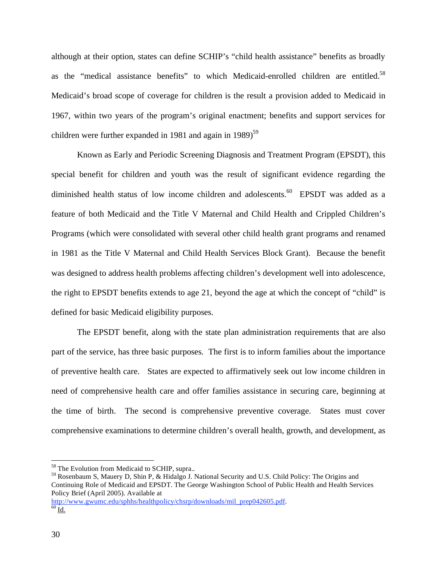although at their option, states can define SCHIP's "child health assistance" benefits as broadly as the "medical assistance benefits" to which Medicaid-enrolled children are entitled.<sup>58</sup> Medicaid's broad scope of coverage for children is the result a provision added to Medicaid in 1967, within two years of the program's original enactment; benefits and support services for children were further expanded in 1981 and again in 1989)<sup>59</sup>

Known as Early and Periodic Screening Diagnosis and Treatment Program (EPSDT), this special benefit for children and youth was the result of significant evidence regarding the diminished health status of low income children and adolescents. $60$  EPSDT was added as a feature of both Medicaid and the Title V Maternal and Child Health and Crippled Children's Programs (which were consolidated with several other child health grant programs and renamed in 1981 as the Title V Maternal and Child Health Services Block Grant). Because the benefit was designed to address health problems affecting children's development well into adolescence, the right to EPSDT benefits extends to age 21, beyond the age at which the concept of "child" is defined for basic Medicaid eligibility purposes.

The EPSDT benefit, along with the state plan administration requirements that are also part of the service, has three basic purposes. The first is to inform families about the importance of preventive health care. States are expected to affirmatively seek out low income children in need of comprehensive health care and offer families assistance in securing care, beginning at the time of birth. The second is comprehensive preventive coverage. States must cover comprehensive examinations to determine children's overall health, growth, and development, as

59 Rosenbaum S, Mauery D, Shin P, & Hidalgo J. National Security and U.S. Child Policy: The Origins and Continuing Role of Medicaid and EPSDT. The George Washington School of Public Health and Health Services Policy Brief (April 2005). Available at

http://www.gwumc.edu/sphhs/healthpolicy/chsrp/downloads/mil\_prep042605.pdf. <sup>60</sup> Id.

<sup>&</sup>lt;sup>58</sup> The Evolution from Medicaid to SCHIP, supra..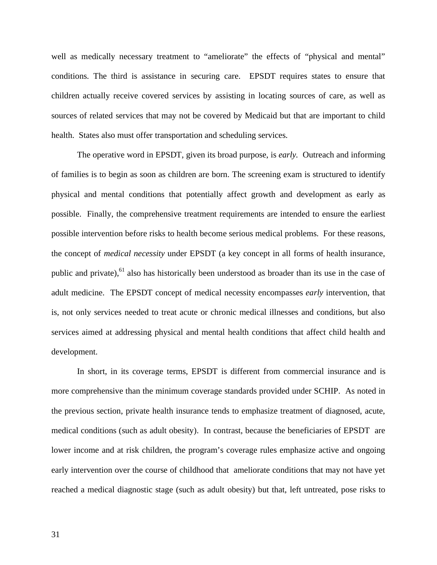well as medically necessary treatment to "ameliorate" the effects of "physical and mental" conditions. The third is assistance in securing care. EPSDT requires states to ensure that children actually receive covered services by assisting in locating sources of care, as well as sources of related services that may not be covered by Medicaid but that are important to child health. States also must offer transportation and scheduling services.

The operative word in EPSDT, given its broad purpose, is *early.* Outreach and informing of families is to begin as soon as children are born. The screening exam is structured to identify physical and mental conditions that potentially affect growth and development as early as possible. Finally, the comprehensive treatment requirements are intended to ensure the earliest possible intervention before risks to health become serious medical problems. For these reasons, the concept of *medical necessity* under EPSDT (a key concept in all forms of health insurance, public and private),<sup>61</sup> also has historically been understood as broader than its use in the case of adult medicine. The EPSDT concept of medical necessity encompasses *early* intervention, that is, not only services needed to treat acute or chronic medical illnesses and conditions, but also services aimed at addressing physical and mental health conditions that affect child health and development.

In short, in its coverage terms, EPSDT is different from commercial insurance and is more comprehensive than the minimum coverage standards provided under SCHIP. As noted in the previous section, private health insurance tends to emphasize treatment of diagnosed, acute, medical conditions (such as adult obesity). In contrast, because the beneficiaries of EPSDT are lower income and at risk children, the program's coverage rules emphasize active and ongoing early intervention over the course of childhood that ameliorate conditions that may not have yet reached a medical diagnostic stage (such as adult obesity) but that, left untreated, pose risks to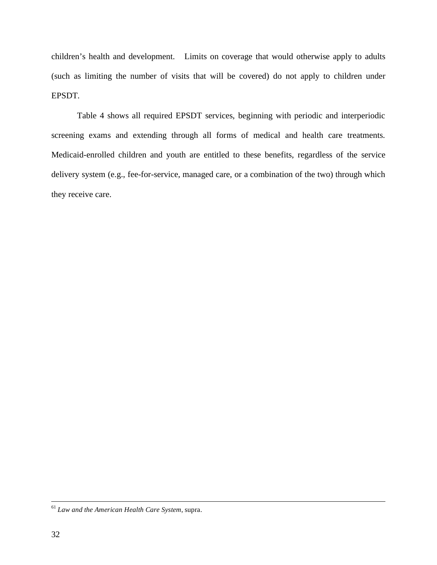children's health and development. Limits on coverage that would otherwise apply to adults (such as limiting the number of visits that will be covered) do not apply to children under EPSDT.

Table 4 shows all required EPSDT services, beginning with periodic and interperiodic screening exams and extending through all forms of medical and health care treatments. Medicaid-enrolled children and youth are entitled to these benefits, regardless of the service delivery system (e.g., fee-for-service, managed care, or a combination of the two) through which they receive care.

 <sup>61</sup> *Law and the American Health Care System*, supra.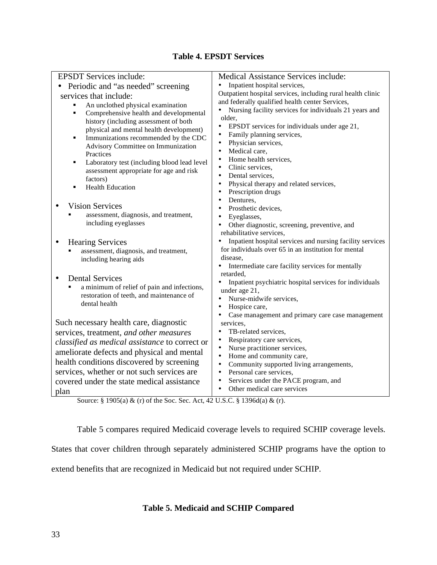# **Table 4. EPSDT Services**

| <b>EPSDT</b> Services include:                   | Medical Assistance Services include:                                                  |  |  |
|--------------------------------------------------|---------------------------------------------------------------------------------------|--|--|
| Periodic and "as needed" screening               | Inpatient hospital services,<br>٠                                                     |  |  |
| services that include:                           | Outpatient hospital services, including rural health clinic                           |  |  |
| An unclothed physical examination                | and federally qualified health center Services,                                       |  |  |
| Comprehensive health and developmental<br>٠      | Nursing facility services for individuals 21 years and                                |  |  |
| history (including assessment of both            | older,                                                                                |  |  |
| physical and mental health development)          | EPSDT services for individuals under age 21,<br>٠                                     |  |  |
| Immunizations recommended by the CDC<br>٠        | Family planning services,                                                             |  |  |
| Advisory Committee on Immunization               | Physician services,<br>Medical care,<br>$\bullet$                                     |  |  |
| Practices                                        | Home health services,                                                                 |  |  |
| Laboratory test (including blood lead level<br>٠ | Clinic services,<br>$\bullet$                                                         |  |  |
| assessment appropriate for age and risk          | Dental services,                                                                      |  |  |
| factors)                                         | Physical therapy and related services,                                                |  |  |
| <b>Health Education</b><br>$\blacksquare$        | Prescription drugs<br>$\bullet$                                                       |  |  |
|                                                  | Dentures,<br>$\bullet$                                                                |  |  |
| <b>Vision Services</b>                           | Prosthetic devices,                                                                   |  |  |
| assessment, diagnosis, and treatment,            | Eyeglasses,                                                                           |  |  |
| including eyeglasses                             | Other diagnostic, screening, preventive, and                                          |  |  |
|                                                  | rehabilitative services,                                                              |  |  |
| <b>Hearing Services</b>                          | Inpatient hospital services and nursing facility services                             |  |  |
| assessment, diagnosis, and treatment,            | for individuals over 65 in an institution for mental                                  |  |  |
| including hearing aids                           | disease,                                                                              |  |  |
|                                                  | Intermediate care facility services for mentally                                      |  |  |
| <b>Dental Services</b>                           | retarded.<br>Inpatient psychiatric hospital services for individuals                  |  |  |
| a minimum of relief of pain and infections,      | under age 21,                                                                         |  |  |
| restoration of teeth, and maintenance of         | Nurse-midwife services,                                                               |  |  |
| dental health                                    | Hospice care,<br>٠                                                                    |  |  |
|                                                  | Case management and primary care case management                                      |  |  |
| Such necessary health care, diagnostic           | services,                                                                             |  |  |
| services, treatment, and other measures          | TB-related services,                                                                  |  |  |
| classified as medical assistance to correct or   | Respiratory care services,                                                            |  |  |
| ameliorate defects and physical and mental       | Nurse practitioner services,                                                          |  |  |
| health conditions discovered by screening        | Home and community care,                                                              |  |  |
|                                                  | $\bullet$<br>Community supported living arrangements,                                 |  |  |
| services, whether or not such services are       | Personal care services,<br>$\bullet$                                                  |  |  |
| covered under the state medical assistance       | Services under the PACE program, and<br>$\bullet$<br>Other medical care services<br>٠ |  |  |
| plan<br>$0.400 \pm 0.50$                         | 0.40021130                                                                            |  |  |

Source: § 1905(a) & (r) of the Soc. Sec. Act, 42 U.S.C. § 1396d(a) & (r).

Table 5 compares required Medicaid coverage levels to required SCHIP coverage levels.

States that cover children through separately administered SCHIP programs have the option to

extend benefits that are recognized in Medicaid but not required under SCHIP.

# **Table 5. Medicaid and SCHIP Compared**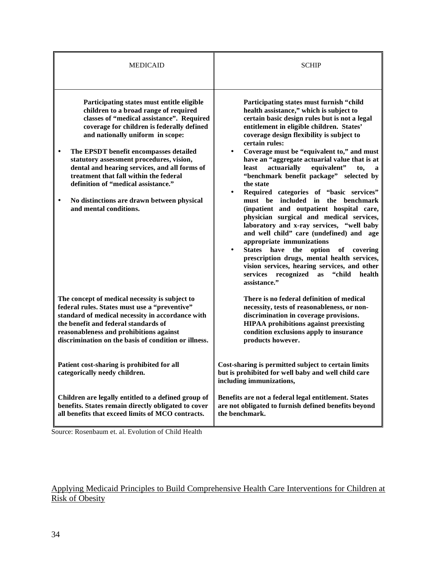| <b>MEDICAID</b>                                                                                                                                                                                                                                                                                                                                                                                                                                                                                                    | <b>SCHIP</b>                                                                                                                                                                                                                                                                                                                                                                                                                                                                                                                                                                                                                                                                                                                                                                                                                                                                                                                                                                                                              |
|--------------------------------------------------------------------------------------------------------------------------------------------------------------------------------------------------------------------------------------------------------------------------------------------------------------------------------------------------------------------------------------------------------------------------------------------------------------------------------------------------------------------|---------------------------------------------------------------------------------------------------------------------------------------------------------------------------------------------------------------------------------------------------------------------------------------------------------------------------------------------------------------------------------------------------------------------------------------------------------------------------------------------------------------------------------------------------------------------------------------------------------------------------------------------------------------------------------------------------------------------------------------------------------------------------------------------------------------------------------------------------------------------------------------------------------------------------------------------------------------------------------------------------------------------------|
| Participating states must entitle eligible<br>children to a broad range of required<br>classes of "medical assistance". Required<br>coverage for children is federally defined<br>and nationally uniform in scope:<br>The EPSDT benefit encompasses detailed<br>statutory assessment procedures, vision,<br>dental and hearing services, and all forms of<br>treatment that fall within the federal<br>definition of "medical assistance."<br>No distinctions are drawn between physical<br>and mental conditions. | Participating states must furnish "child<br>health assistance," which is subject to<br>certain basic design rules but is not a legal<br>entitlement in eligible children. States'<br>coverage design flexibility is subject to<br>certain rules:<br>Coverage must be "equivalent to," and must<br>$\bullet$<br>have an "aggregate actuarial value that is at<br>equivalent"<br>least<br>actuarially<br>to,<br>"benchmark benefit package" selected by<br>the state<br>Required categories of "basic services"<br>$\bullet$<br>must be included in<br>the benchmark<br>(inpatient and outpatient hospital care,<br>physician surgical and medical services,<br>laboratory and x-ray services, "well baby<br>and well child" care (undefined) and age<br>appropriate immunizations<br>States have<br>the<br>option<br>of<br>covering<br>$\bullet$<br>prescription drugs, mental health services,<br>vision services, hearing services, and other<br>services<br>recognized<br>health<br>"child<br><b>as</b><br>assistance." |
| The concept of medical necessity is subject to<br>federal rules. States must use a "preventive"<br>standard of medical necessity in accordance with<br>the benefit and federal standards of<br>reasonableness and prohibitions against<br>discrimination on the basis of condition or illness.                                                                                                                                                                                                                     | There is no federal definition of medical<br>necessity, tests of reasonableness, or non-<br>discrimination in coverage provisions.<br><b>HIPAA</b> prohibitions against preexisting<br>condition exclusions apply to insurance<br>products however.                                                                                                                                                                                                                                                                                                                                                                                                                                                                                                                                                                                                                                                                                                                                                                       |
| Patient cost-sharing is prohibited for all<br>categorically needy children.                                                                                                                                                                                                                                                                                                                                                                                                                                        | Cost-sharing is permitted subject to certain limits<br>but is prohibited for well baby and well child care<br>including immunizations,                                                                                                                                                                                                                                                                                                                                                                                                                                                                                                                                                                                                                                                                                                                                                                                                                                                                                    |
| Children are legally entitled to a defined group of<br>benefits. States remain directly obligated to cover<br>all benefits that exceed limits of MCO contracts.                                                                                                                                                                                                                                                                                                                                                    | Benefits are not a federal legal entitlement. States<br>are not obligated to furnish defined benefits beyond<br>the benchmark.                                                                                                                                                                                                                                                                                                                                                                                                                                                                                                                                                                                                                                                                                                                                                                                                                                                                                            |

Source: Rosenbaum et. al. Evolution of Child Health

# Applying Medicaid Principles to Build Comprehensive Health Care Interventions for Children at Risk of Obesity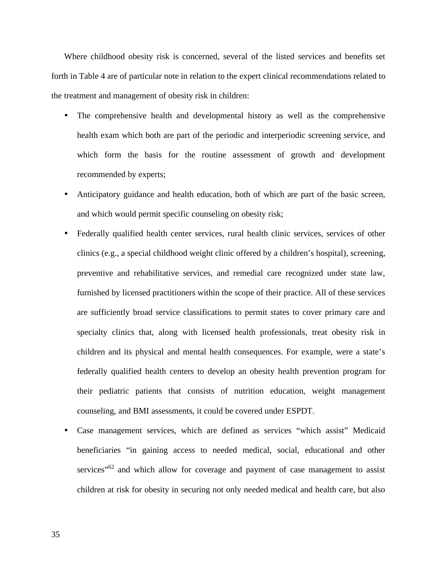Where childhood obesity risk is concerned, several of the listed services and benefits set forth in Table 4 are of particular note in relation to the expert clinical recommendations related to the treatment and management of obesity risk in children:

- The comprehensive health and developmental history as well as the comprehensive health exam which both are part of the periodic and interperiodic screening service, and which form the basis for the routine assessment of growth and development recommended by experts;
- Anticipatory guidance and health education, both of which are part of the basic screen, and which would permit specific counseling on obesity risk;
- Federally qualified health center services, rural health clinic services, services of other clinics (e.g., a special childhood weight clinic offered by a children's hospital), screening, preventive and rehabilitative services, and remedial care recognized under state law, furnished by licensed practitioners within the scope of their practice. All of these services are sufficiently broad service classifications to permit states to cover primary care and specialty clinics that, along with licensed health professionals, treat obesity risk in children and its physical and mental health consequences. For example, were a state's federally qualified health centers to develop an obesity health prevention program for their pediatric patients that consists of nutrition education, weight management counseling, and BMI assessments, it could be covered under ESPDT.
- Case management services, which are defined as services "which assist" Medicaid beneficiaries "in gaining access to needed medical, social, educational and other services"<sup>62</sup> and which allow for coverage and payment of case management to assist children at risk for obesity in securing not only needed medical and health care, but also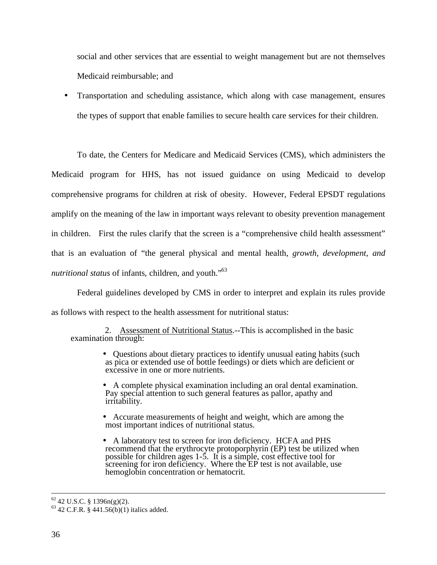social and other services that are essential to weight management but are not themselves Medicaid reimbursable; and

• Transportation and scheduling assistance, which along with case management, ensures the types of support that enable families to secure health care services for their children.

To date, the Centers for Medicare and Medicaid Services (CMS), which administers the Medicaid program for HHS, has not issued guidance on using Medicaid to develop comprehensive programs for children at risk of obesity. However, Federal EPSDT regulations amplify on the meaning of the law in important ways relevant to obesity prevention management in children. First the rules clarify that the screen is a "comprehensive child health assessment" that is an evaluation of "the general physical and mental health, *growth, development, and nutritional status* of infants, children, and youth."<sup>63</sup>

Federal guidelines developed by CMS in order to interpret and explain its rules provide as follows with respect to the health assessment for nutritional status:

2. Assessment of Nutritional Status.--This is accomplished in the basic examination through:

> • Questions about dietary practices to identify unusual eating habits (such as pica or extended use of bottle feedings) or diets which are deficient or excessive in one or more nutrients.

> • A complete physical examination including an oral dental examination. Pay special attention to such general features as pallor, apathy and irritability.

• Accurate measurements of height and weight, which are among the most important indices of nutritional status.

• A laboratory test to screen for iron deficiency. HCFA and PHS recommend that the erythrocyte protoporphyrin (EP) test be utilized when possible for children ages 1-5. It is a simple, cost effective tool for screening for iron deficiency. Where the EP test is not available, use hemoglobin concentration or hematocrit.

 $62$  42 U.S.C. § 1396n(g)(2).

 $63$  42 C.F.R. § 441.56(b)(1) italics added.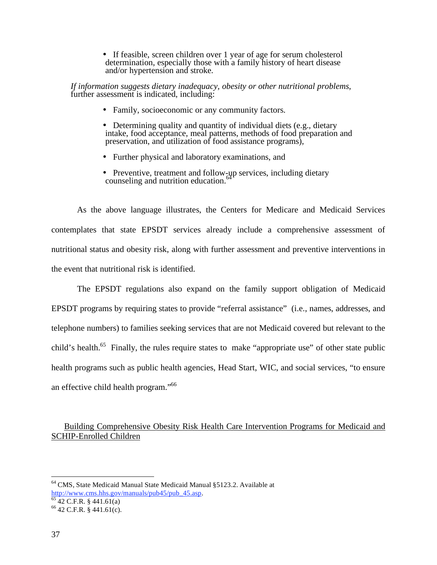• If feasible, screen children over 1 year of age for serum cholesterol determination, especially those with a family history of heart disease and/or hypertension and stroke.

*If information suggests dietary inadequacy, obesity or other nutritional problems*, further assessment is indicated, including:

- Family, socioeconomic or any community factors.
- Determining quality and quantity of individual diets (e.g., dietary intake, food acceptance, meal patterns, methods of food preparation and preservation, and utilization of food assistance programs),
- Further physical and laboratory examinations, and
- Preventive, treatment and follow-up services, including dietary counseling and nutrition education. $64$

 As the above language illustrates, the Centers for Medicare and Medicaid Services contemplates that state EPSDT services already include a comprehensive assessment of nutritional status and obesity risk, along with further assessment and preventive interventions in the event that nutritional risk is identified.

The EPSDT regulations also expand on the family support obligation of Medicaid EPSDT programs by requiring states to provide "referral assistance" (i.e., names, addresses, and telephone numbers) to families seeking services that are not Medicaid covered but relevant to the child's health.<sup>65</sup> Finally, the rules require states to make "appropriate use" of other state public health programs such as public health agencies, Head Start, WIC, and social services, "to ensure an effective child health program."66

# Building Comprehensive Obesity Risk Health Care Intervention Programs for Medicaid and SCHIP-Enrolled Children

<sup>64</sup> CMS, State Medicaid Manual State Medicaid Manual §5123.2. Available at

http://www.cms.hhs.gov/manuals/pub45/pub 45.asp.  $^{65}$  42 C.F.R. § 441.61(a)

<sup>66 42</sup> C.F.R. § 441.61(c).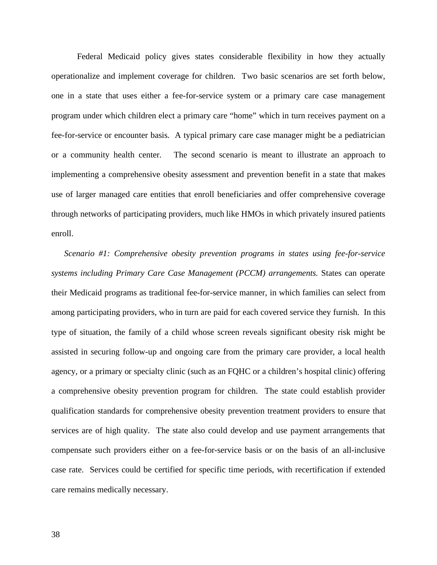Federal Medicaid policy gives states considerable flexibility in how they actually operationalize and implement coverage for children. Two basic scenarios are set forth below, one in a state that uses either a fee-for-service system or a primary care case management program under which children elect a primary care "home" which in turn receives payment on a fee-for-service or encounter basis. A typical primary care case manager might be a pediatrician or a community health center. The second scenario is meant to illustrate an approach to implementing a comprehensive obesity assessment and prevention benefit in a state that makes use of larger managed care entities that enroll beneficiaries and offer comprehensive coverage through networks of participating providers, much like HMOs in which privately insured patients enroll.

*Scenario #1: Comprehensive obesity prevention programs in states using fee-for-service systems including Primary Care Case Management (PCCM) arrangements.* States can operate their Medicaid programs as traditional fee-for-service manner, in which families can select from among participating providers, who in turn are paid for each covered service they furnish. In this type of situation, the family of a child whose screen reveals significant obesity risk might be assisted in securing follow-up and ongoing care from the primary care provider, a local health agency, or a primary or specialty clinic (such as an FQHC or a children's hospital clinic) offering a comprehensive obesity prevention program for children. The state could establish provider qualification standards for comprehensive obesity prevention treatment providers to ensure that services are of high quality. The state also could develop and use payment arrangements that compensate such providers either on a fee-for-service basis or on the basis of an all-inclusive case rate. Services could be certified for specific time periods, with recertification if extended care remains medically necessary.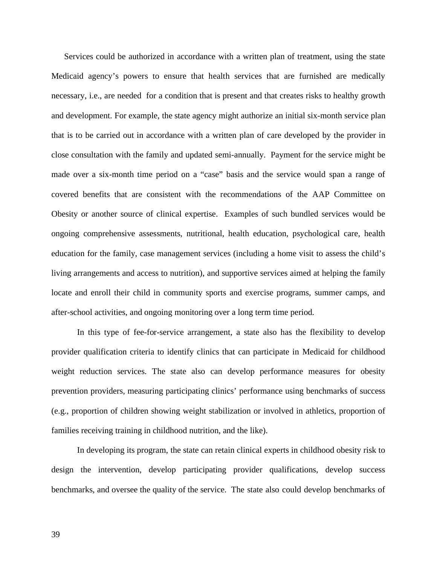Services could be authorized in accordance with a written plan of treatment, using the state Medicaid agency's powers to ensure that health services that are furnished are medically necessary, i.e., are needed for a condition that is present and that creates risks to healthy growth and development. For example, the state agency might authorize an initial six-month service plan that is to be carried out in accordance with a written plan of care developed by the provider in close consultation with the family and updated semi-annually. Payment for the service might be made over a six-month time period on a "case" basis and the service would span a range of covered benefits that are consistent with the recommendations of the AAP Committee on Obesity or another source of clinical expertise. Examples of such bundled services would be ongoing comprehensive assessments, nutritional, health education, psychological care, health education for the family, case management services (including a home visit to assess the child's living arrangements and access to nutrition), and supportive services aimed at helping the family locate and enroll their child in community sports and exercise programs, summer camps, and after-school activities, and ongoing monitoring over a long term time period.

In this type of fee-for-service arrangement, a state also has the flexibility to develop provider qualification criteria to identify clinics that can participate in Medicaid for childhood weight reduction services. The state also can develop performance measures for obesity prevention providers, measuring participating clinics' performance using benchmarks of success (e.g., proportion of children showing weight stabilization or involved in athletics, proportion of families receiving training in childhood nutrition, and the like).

In developing its program, the state can retain clinical experts in childhood obesity risk to design the intervention, develop participating provider qualifications, develop success benchmarks, and oversee the quality of the service. The state also could develop benchmarks of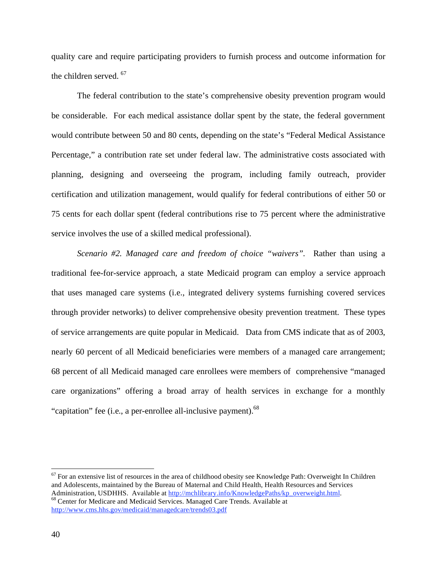quality care and require participating providers to furnish process and outcome information for the children served.<sup>67</sup>

The federal contribution to the state's comprehensive obesity prevention program would be considerable. For each medical assistance dollar spent by the state, the federal government would contribute between 50 and 80 cents, depending on the state's "Federal Medical Assistance Percentage," a contribution rate set under federal law. The administrative costs associated with planning, designing and overseeing the program, including family outreach, provider certification and utilization management, would qualify for federal contributions of either 50 or 75 cents for each dollar spent (federal contributions rise to 75 percent where the administrative service involves the use of a skilled medical professional).

*Scenario #2. Managed care and freedom of choice "waivers".* Rather than using a traditional fee-for-service approach, a state Medicaid program can employ a service approach that uses managed care systems (i.e., integrated delivery systems furnishing covered services through provider networks) to deliver comprehensive obesity prevention treatment. These types of service arrangements are quite popular in Medicaid. Data from CMS indicate that as of 2003, nearly 60 percent of all Medicaid beneficiaries were members of a managed care arrangement; 68 percent of all Medicaid managed care enrollees were members of comprehensive "managed care organizations" offering a broad array of health services in exchange for a monthly "capitation" fee (i.e., a per-enrollee all-inclusive payment).<sup>68</sup>

 $67$  For an extensive list of resources in the area of childhood obesity see Knowledge Path: Overweight In Children and Adolescents, maintained by the Bureau of Maternal and Child Health, Health Resources and Services Administration, USDHHS. Available at http://mchlibrary.info/KnowledgePaths/kp\_overweight.html. <sup>68</sup> Center for Medicare and Medicaid Services. Managed Care Trends. Available at http://www.cms.hhs.gov/medicaid/managedcare/trends03.pdf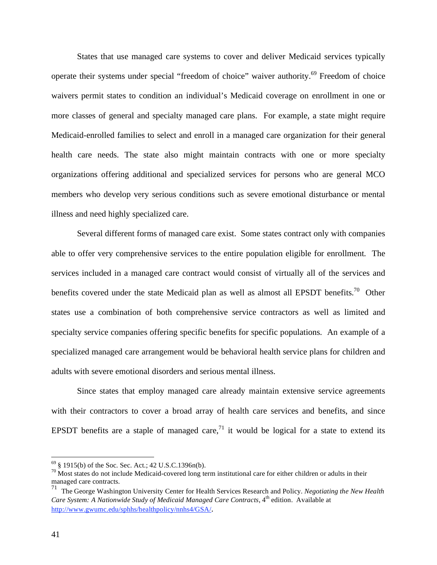States that use managed care systems to cover and deliver Medicaid services typically operate their systems under special "freedom of choice" waiver authority.69 Freedom of choice waivers permit states to condition an individual's Medicaid coverage on enrollment in one or more classes of general and specialty managed care plans. For example, a state might require Medicaid-enrolled families to select and enroll in a managed care organization for their general health care needs. The state also might maintain contracts with one or more specialty organizations offering additional and specialized services for persons who are general MCO members who develop very serious conditions such as severe emotional disturbance or mental illness and need highly specialized care.

Several different forms of managed care exist. Some states contract only with companies able to offer very comprehensive services to the entire population eligible for enrollment. The services included in a managed care contract would consist of virtually all of the services and benefits covered under the state Medicaid plan as well as almost all EPSDT benefits.<sup>70</sup> Other states use a combination of both comprehensive service contractors as well as limited and specialty service companies offering specific benefits for specific populations. An example of a specialized managed care arrangement would be behavioral health service plans for children and adults with severe emotional disorders and serious mental illness.

Since states that employ managed care already maintain extensive service agreements with their contractors to cover a broad array of health care services and benefits, and since EPSDT benefits are a staple of managed care,<sup>71</sup> it would be logical for a state to extend its

1

 $69 \text{ }$  § 1915(b) of the Soc. Sec. Act.; 42 U.S.C.1396n(b).

 $70$  Most states do not include Medicaid-covered long term institutional care for either children or adults in their managed care contracts.

<sup>71</sup> The George Washington University Center for Health Services Research and Policy. *Negotiating the New Health Care System: A Nationwide Study of Medicaid Managed Care Contracts*, 4<sup>th</sup> edition. Available at http://www.gwumc.edu/sphhs/healthpolicy/nnhs4/GSA/.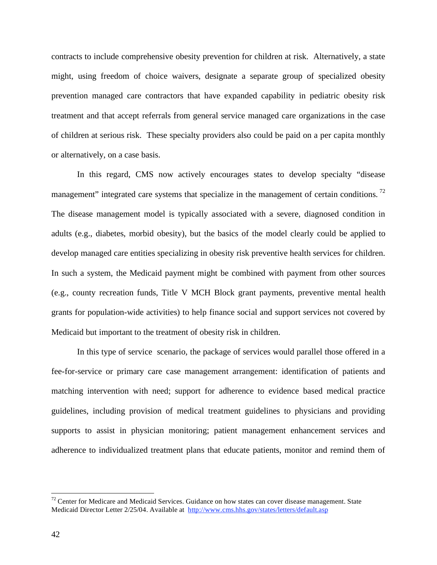contracts to include comprehensive obesity prevention for children at risk. Alternatively, a state might, using freedom of choice waivers, designate a separate group of specialized obesity prevention managed care contractors that have expanded capability in pediatric obesity risk treatment and that accept referrals from general service managed care organizations in the case of children at serious risk. These specialty providers also could be paid on a per capita monthly or alternatively, on a case basis.

In this regard, CMS now actively encourages states to develop specialty "disease management" integrated care systems that specialize in the management of certain conditions.<sup>72</sup> The disease management model is typically associated with a severe, diagnosed condition in adults (e.g., diabetes, morbid obesity), but the basics of the model clearly could be applied to develop managed care entities specializing in obesity risk preventive health services for children. In such a system, the Medicaid payment might be combined with payment from other sources (e.g., county recreation funds, Title V MCH Block grant payments, preventive mental health grants for population-wide activities) to help finance social and support services not covered by Medicaid but important to the treatment of obesity risk in children.

In this type of service scenario, the package of services would parallel those offered in a fee-for-service or primary care case management arrangement: identification of patients and matching intervention with need; support for adherence to evidence based medical practice guidelines, including provision of medical treatment guidelines to physicians and providing supports to assist in physician monitoring; patient management enhancement services and adherence to individualized treatment plans that educate patients, monitor and remind them of

 $72$  Center for Medicare and Medicaid Services. Guidance on how states can cover disease management. State Medicaid Director Letter 2/25/04. Available at http://www.cms.hhs.gov/states/letters/default.asp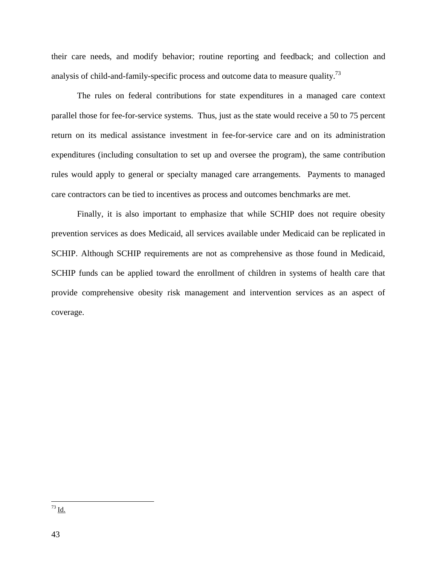their care needs, and modify behavior; routine reporting and feedback; and collection and analysis of child-and-family-specific process and outcome data to measure quality.<sup>73</sup>

The rules on federal contributions for state expenditures in a managed care context parallel those for fee-for-service systems. Thus, just as the state would receive a 50 to 75 percent return on its medical assistance investment in fee-for-service care and on its administration expenditures (including consultation to set up and oversee the program), the same contribution rules would apply to general or specialty managed care arrangements. Payments to managed care contractors can be tied to incentives as process and outcomes benchmarks are met.

Finally, it is also important to emphasize that while SCHIP does not require obesity prevention services as does Medicaid, all services available under Medicaid can be replicated in SCHIP. Although SCHIP requirements are not as comprehensive as those found in Medicaid, SCHIP funds can be applied toward the enrollment of children in systems of health care that provide comprehensive obesity risk management and intervention services as an aspect of coverage.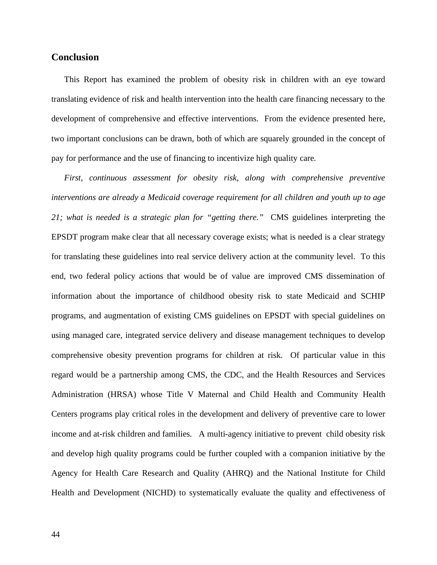# **Conclusion**

This Report has examined the problem of obesity risk in children with an eye toward translating evidence of risk and health intervention into the health care financing necessary to the development of comprehensive and effective interventions. From the evidence presented here, two important conclusions can be drawn, both of which are squarely grounded in the concept of pay for performance and the use of financing to incentivize high quality care.

*First, continuous assessment for obesity risk, along with comprehensive preventive interventions are already a Medicaid coverage requirement for all children and youth up to age 21; what is needed is a strategic plan for "getting there."* CMS guidelines interpreting the EPSDT program make clear that all necessary coverage exists; what is needed is a clear strategy for translating these guidelines into real service delivery action at the community level. To this end, two federal policy actions that would be of value are improved CMS dissemination of information about the importance of childhood obesity risk to state Medicaid and SCHIP programs, and augmentation of existing CMS guidelines on EPSDT with special guidelines on using managed care, integrated service delivery and disease management techniques to develop comprehensive obesity prevention programs for children at risk. Of particular value in this regard would be a partnership among CMS, the CDC, and the Health Resources and Services Administration (HRSA) whose Title V Maternal and Child Health and Community Health Centers programs play critical roles in the development and delivery of preventive care to lower income and at-risk children and families. A multi-agency initiative to prevent child obesity risk and develop high quality programs could be further coupled with a companion initiative by the Agency for Health Care Research and Quality (AHRQ) and the National Institute for Child Health and Development (NICHD) to systematically evaluate the quality and effectiveness of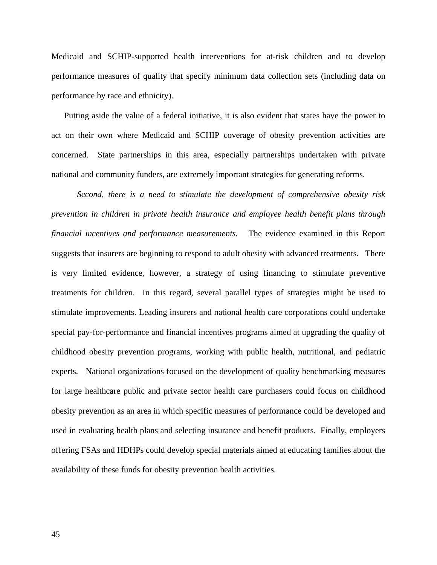Medicaid and SCHIP-supported health interventions for at-risk children and to develop performance measures of quality that specify minimum data collection sets (including data on performance by race and ethnicity).

Putting aside the value of a federal initiative, it is also evident that states have the power to act on their own where Medicaid and SCHIP coverage of obesity prevention activities are concerned. State partnerships in this area, especially partnerships undertaken with private national and community funders, are extremely important strategies for generating reforms.

*Second, there is a need to stimulate the development of comprehensive obesity risk prevention in children in private health insurance and employee health benefit plans through financial incentives and performance measurements.* The evidence examined in this Report suggests that insurers are beginning to respond to adult obesity with advanced treatments. There is very limited evidence, however, a strategy of using financing to stimulate preventive treatments for children. In this regard, several parallel types of strategies might be used to stimulate improvements. Leading insurers and national health care corporations could undertake special pay-for-performance and financial incentives programs aimed at upgrading the quality of childhood obesity prevention programs, working with public health, nutritional, and pediatric experts. National organizations focused on the development of quality benchmarking measures for large healthcare public and private sector health care purchasers could focus on childhood obesity prevention as an area in which specific measures of performance could be developed and used in evaluating health plans and selecting insurance and benefit products. Finally, employers offering FSAs and HDHPs could develop special materials aimed at educating families about the availability of these funds for obesity prevention health activities.